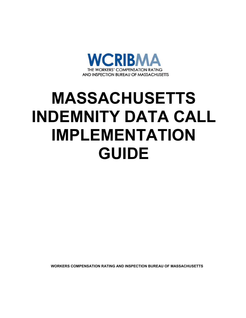

# **MASSACHUSETTS INDEMNITY DATA CALL IMPLEMENTATION GUIDE**

**WORKERS COMPENSATION RATING AND INSPECTION BUREAU OF MASSACHUSETTS**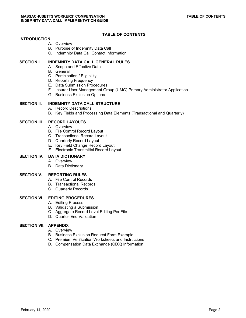## **TABLE OF CONTENTS**

#### **INTRODUCTION**

- A. Overview
- B. Purpose of Indemnity Data Call
- C. Indemnity Data Call Contact Information

#### **SECTION I. INDEMNITY DATA CALL GENERAL RULES**

- A. Scope and Effective Date
- B. General
- C. Participation / Eligibility
- D. Reporting Frequency
- E. Data Submission Procedures
- F. Insurer User Management Group (UMG) Primary Administrator Application
- G. Business Exclusion Options

#### **SECTION II. INDEMNITY DATA CALL STRUCTURE**

- A. Record Descriptions
- B. Key Fields and Processing Data Elements (Transactional and Quarterly)

### **SECTION III. RECORD LAYOUTS**

- A. Overview
- B. File Control Record Layout
- C. Transactional Record Layout
- D. Quarterly Record Layout
- E. Key Field Change Record Layout
- F. Electronic Transmittal Record Layout

#### **SECTION IV. DATA DICTIONARY**

- A. Overview
- B. Data Dictionary

#### **SECTION V. REPORTING RULES**

- A. File Control Records
- B. Transactional Records
- C. Quarterly Records

#### **SECTION VI. EDITING PROCEDURES**

- A. Editing Process
- B. Validating a Submission
- C. Aggregate Record Level Editing Per File
- D. Quarter-End Validation

#### **SECTION VII. APPENDIX**

- A. Overview
- B. Business Exclusion Request Form Example
- C. Premium Verification Worksheets and Instructions
- D. Compensation Data Exchange (CDX) Information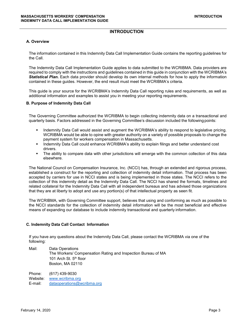## **INTRODUCTION**

#### **A. Overview**

The information contained in this Indemnity Data Call Implementation Guide contains the reporting guidelines for the Call.

The Indemnity Data Call Implementation Guide applies to data submitted to the WCRIBMA. Data providers are required to comply with the instructions and guidelines contained in this guide in conjunction with the WCRIBMA's *Statistical Plan.* Each data provider should develop its own internal methods for how to apply the information contained in these guides. However, the end result must meet the WCRIBMA's criteria.

This guide is your source for the WCRIBMA's Indemnity Data Call reporting rules and requirements, as well as additional information and examples to assist you in meeting your reporting requirements.

#### **B. Purpose of Indemnity Data Call**

The Governing Committee authorized the WCRIBMA to begin collecting indemnity data on a transactional and quarterly basis. Factors addressed in the Governing Committee's discussion included the followingpoints:

- **Indemnity Data Call would assist and augment the WCRIBMA's ability to respond to legislative pricing.** WCRIBMA would be able to opine with greater authority on a variety of possible proposals to change the payment system for workers compensation in Massachusetts.
- Indemnity Data Call could enhance WCRIBMA's ability to explain filings and better understand cost drivers.
- The ability to compare data with other jurisdictions will emerge with the common collection of this data elsewhere.

The National Council on Compensation Insurance, Inc. (NCCI) has, through an extended and rigorous process, established a construct for the reporting and collection of indemnity detail information. That process has been accepted by carriers for use in NCCI states and is being implemented in those states. The NCCI refers to the collection of this indemnity detail as the Indemnity Data Call. The NCCI has shared the formats, timelines and related collateral for the Indemnity Data Call with all independent bureaus and has advised those organizations that they are at liberty to adopt and use any portion(s) of that intellectual property as seen fit.

The WCRIBMA, with Governing Committee support, believes that using and conforming as much as possible to the NCCI standards for the collection of indemnity detail information will be the most beneficial and effective means of expanding our database to include indemnity transactional and quarterly information.

#### **C. Indemnity Data Call Contact Information**

If you have any questions about the Indemnity Data Call, please contact the WCRIBMA via one of the following:

Mail: Data Operations The Workers/ Compensation Rating and Inspection Bureau of MA 101 Arch St. 5<sup>th</sup> floor Boston, MA 02110

Phone: (617) 439-9030 Website: [www.wcribma.org](file://fpserver/Actuar/TONY/Indemnity%20Data%20Call/www.wcribma.org) E-mail: [dataoperations@wcribma.org](mailto:dataoperations@wcribma.org)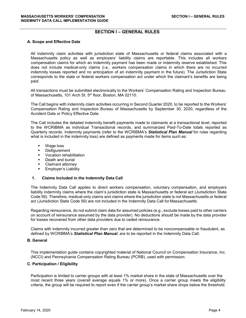## **SECTION I – GENERAL RULES**

#### **A. Scope and Effective Date**

All indemnity claim activities with jurisdiction state of Massachusetts or federal claims associated with a Massachusetts policy as well as employers' liability claims are reportable. This includes all workers compensation claims for which an indemnity payment has been made or indemnity reserve established. This does not include medical-only claims (i.e., workers compensation claims in which there are no incurred indemnity losses reported and no anticipation of an indemnity payment in the future). The Jurisdiction State corresponds to the state or federal workers compensation act under which the claimant's benefits are being paid.

All transactions must be submitted electronically to the Workers' Compensation Rating and Inspection Bureau of Massachusetts, 101 Arch St. 5<sup>th</sup> floor, Boston, MA 02110.

The Call begins with indemnity claim activities occurring in Second Quarter 2020, to be reported to the Workers' Compensation Rating and Inspection Bureau of Massachusetts by September 30, 2020, regardless of the Accident Date or Policy Effective Date.

The Call includes the detailed indemnity benefit payments made to claimants at a transactional level, reported to the WCRIBMA as individual Transactional records, and summarized Paid-To-Date totals reported as Quarterly records. Indemnity payments (refer to the WCRIBMA's *Statistical Plan Manual* for rules regarding what is included in the indemnity loss) are defined as payments made for items such as:

- Wage loss
- **•** Disfigurement
- **v** Vocation rehabilitation
- Death and burial
- **EXEC** Claimant attorney
- Employer's Liability

#### **1. Claims Included in the Indemnity Data Call**

The Indemnity Data Call applies to direct workers compensation, voluntary compensation, and employers liability indemnity claims where the claim's jurisdiction state is Massachusetts or federal act (Jurisdiction State Code 59). Therefore, medical-only claims and claims where the jurisdiction state is not Massachusetts or federal act (Jurisdiction State Code 59) are not included in the Indemnity Data Call for Massachusetts.

Regarding reinsurance, do not submit claim data for assumed policies (e.g., exclude losses paid to other carriers on account of reinsurance assumed by the data provider). No deductions should be made by the data provider for losses recovered from other data providers due to ceded reinsurance.

Claims with indemnity incurred greater than zero that are determined to be noncompensable or fraudulent, as defined by WCRIBMA's *Statistical Plan Manual*, are to be reported in the Indemnity Data Call.

#### **B. General**

This implementation guide contains copyrighted material of National Council on Compensation Insurance, Inc. (NCCI) and Pennsylvania Compensation Rating Bureau (PCRB), used with permission.

#### **C. Participation / Eligibility**

Participation is limited to carrier groups with at least 1% market share in the state of Massachusetts over the most recent three years (overall average equals 1% or more). Once a carrier group meets the eligibility criteria, the group will be required to report even if the carrier group's market share drops below the threshold.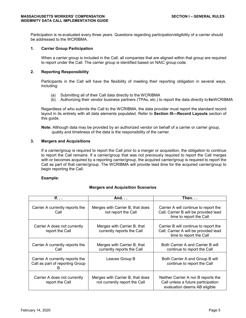Participation is re-evaluated every three years. Questions regarding participation/eligibility of a carrier should be addressed to the WCRIBMA.

#### **1. Carrier Group Participation**

When a carrier group is included in the Call, all companies that are aligned within that group are required to report under the Call. The carrier group is identified based on NAIC group code.

#### **2. Reporting Responsibility**

Participants in the Call will have the flexibility of meeting their reporting obligation in several ways, including:

- (a) Submitting all of their Call data directly to the WCRIBMA
- (b) Authorizing their vendor business partners (TPAs, etc.) to report the data directly to the WCRIBMA

Regardless of who submits the Call to the WCRIBMA, the data provider must report the standard record layout in its entirety with all data elements populated. Refer to **Section III—Record Layouts** section of this guide.

**Note:** Although data may be provided by an authorized vendor on behalf of a carrier or carrier group, quality and timeliness of the data is the responsibility of the carrier.

#### **3. Mergers and Acquisitions**

If a carrier/group is required to report the Call prior to a merger or acquisition, the obligation to continue to report the Call remains. If a carrier/group that was not previously required to report the Call merges with or becomes acquired by a reporting carrier/group, the acquired carrier/group is required to report the Call as part of that carrier/group. The WCRIBMA will provide lead time for the acquired carrier/group to begin reporting the Call.

#### **Example:**

## **If. . . And. . . Then. . .** Carrier A currently reports the  $\parallel$  Merges with Carrier B, that does  $\parallel$  Carrier A will continue to report the Call **Call** not report the Call **Call** Call; Carrier B will be provided lead time to report the Call Carrier A does not currently  $\parallel$  Merges with Carrier B, that  $\parallel$  Carrier B will continue to report the report the Call currently reports the Call | Call; Carrier A will be provided lead time to report the Call Carrier A currently reports the Merges with Carrier B, that Farm Both Carrier A and Carrier B will Call Call currently reports the Call continue to report the Call Carrier A currently reports the Leaves Group B Both Carrier A and Group B will<br>Call as part of reporting Group Call as part of reporting Group B Carrier A does not currently  $\parallel$  Merges with Carrier B, that does  $\parallel$  Neither Carrier A nor B reports the report the Call not currently report the Call Call unless a future participation evaluation deems AB eligible

#### **Mergers and Acquisition Scenarios**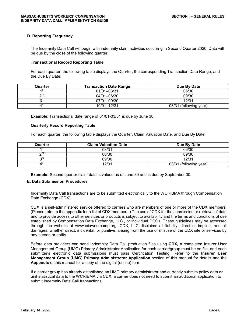#### **D. Reporting Frequency**

The Indemnity Data Call will begin with indemnity claim activities occurring in Second Quarter 2020. Data will be due by the close of the following quarter.

#### **Transactional Record Reporting Table**

For each quarter, the following table displays the Quarter, the corresponding Transaction Date Range, and the Due By Date:

| Quarter | Transaction Date Range | Due By Date            |
|---------|------------------------|------------------------|
| ৰ চা    | 01/01-03/31            | 06/30                  |
| ona     | 04/01-06/30            | 09/30                  |
| ora     | 07/01-09/30            | 12/31                  |
| ⊿แ      | 10/01-12/31            | 03/31 (following year) |

**Example**: Transactional date range of 01/01-03/31 is due by June 30.

#### **Quarterly Record Reporting Table**

For each quarter, the following table displays the Quarter, Claim Valuation Date, and Due By Date:

| Quarter      | <b>Claim Valuation Date</b> | Due By Date            |
|--------------|-----------------------------|------------------------|
| ৰ সং         | 03/31                       | 06/30                  |
| ∩∩∩          | 06/30                       | 09/30                  |
| ord          | 09/30                       | 12/31                  |
| $4^{\rm{w}}$ | 12/31                       | 03/31 (following year) |

**Example:** Second quarter claim data is valued as of June 30 and is due by September 30.

#### **E. Data Submission Procedures**

Indemnity Data Call transactions are to be submitted electronically to the WCRIBMA through Compensation Data Exchange (CDX).

CDX is a self-administered service offered to carriers who are members of one or more of the CDX members. (Please refer to the appendix for a list of CDX members.) The use of CDX for the submission or retrieval of data and to provide access to other services or products is subject to availability and the terms and conditions of use established by Compensation Data Exchange, LLC., or individual DCOs. These guidelines may be accessed through the website at www.cdxworkcomp.org. CDX, LLC disclaims all liability, direct or implied, and all damages, whether direct, incidental, or punitive, arising from the use or misuse of the CDX site or services by any person or entity.

Before data providers can send Indemnity Data Call production files using **CDX***,* a completed Insurer User Management Group (UMG) Primary Administrator Application for each carrier/group must be on file, and each submitter's electronic data submissions must pass Certification Testing. Refer to the **Insurer User Management Group (UMG) Primary Administrator Application** section of this manual for details and the **Appendix** of this manual for a copy of the digital (online) form.

If a carrier group has already established an UMG primary administrator and currently submits policy data or unit statistical data to the WCRIBMA via CDX, a carrier does not need to submit an additional application to submit Indemnity Data Call transactions.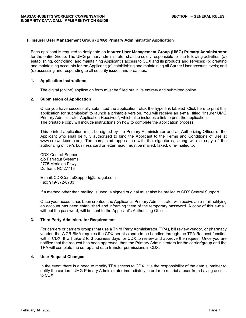#### **F. Insurer User Management Group (UMG) Primary Administrator Application**

Each applicant is required to designate an **Insurer User Management Group (UMG) Primary Administrator**  for the entire Group. The UMG primary administrator shall be solely responsible for the following activities: (a) establishing, controlling, and maintaining Applicant's access to CDX and its products and services; (b) creating and maintaining accounts for the Applicant; (c) establishing and maintaining all Carrier User account levels; and (d) assessing and responding to all security issues and breaches.

#### **1. Application Instructions**

The digital (online) application form must be filled out in its entirety and submitted online.

#### **2. Submission of Application**

Once you have successfully submitted the application, click the hyperlink labeled 'Click here to print this application for submission' to launch a printable version. You will receive an e-mail titled "Insurer UMG Primary Administrator Application Received", which also includes a link to print the application. The printable copy will include instructions on how to complete the application process.

This printed application must be signed by the Primary Administrator and an Authorizing Officer of the Applicant who shall be fully authorized to bind the Applicant to the Terms and Conditions of Use at [www.cdxworkcomp.org.](http://www.accct.org/) The completed application with the signatures, along with a copy of the authorizing officer's business card or letter head, must be mailed, faxed, or e-mailed to:

CDX Central Support c/o Farragut Systems 2775 Meridian Pkwy Durham, NC 27713

E-mail: [CDXCentralSupport@farragut.com](mailto:CDXCentralSupport@farragut.com) Fax: 919-572-0783

If a method other than mailing is used, a signed original must also be mailed to CDX Central Support.

Once your account has been created, the Applicant's Primary Administrator will receive an e-mail notifying an account has been established and informing them of the temporary password. A copy of this e-mail, without the password, will be sent to the Applicant's Authorizing Officer.

#### **3. Third Party Administrator Requirement**

For carriers or carriers groups that use a Third Party Administrator (TPA), bill review vendor, or pharmacy vendor, the WCRIBMA requires the CDX permission(s) to be handled through the TPA Request function within CDX. It will take 2 to 3 business days for CDX to review and approve the request. Once you are notified that the request has been approved, then the Primary Administrators for the carrier/group and the TPA will complete the set-up and data transfer permissions in CDX.

#### **4. User Request Changes**

In the event there is a need to modify TPA access to CDX, it is the responsibility of the data submitter to notify the carriers' UMG Primary Administrator immediately in order to restrict a user from having access to CDX.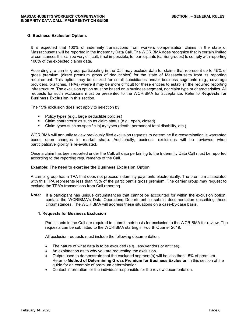#### **G. Business Exclusion Options**

It is expected that 100% of indemnity transactions from workers compensation claims in the state of Massachusetts will be reported in the Indemnity Data Call. The WCRIBMA does recognize that in certain limited circumstances this can be very difficult, if not impossible, for participants (carrier groups) to comply with reporting 100% of the expected claims data.

Accordingly, a carrier group participating in the Call may exclude data for claims that represent up to 15% of gross premium (direct premium gross of deductibles) for the state of Massachusetts from its reporting requirement. This option may be utilized for small subsidiaries and/or business segments (e.g., coverage providers, branches, TPAs) where it may be more difficult for these entities to establish the required reporting infrastructure. The exclusion option must be based on a business segment, not claim type or characteristics. All requests for such exclusions must be presented to the WCRIBMA for acceptance. Refer to **Requests for Business Exclusion** in this section.

The 15% exclusion does **not** apply to selection by:

- Policy types (e.g., large deductible policies)
- Claim characteristics such as claim status (e.g., open, closed)
- Claim types such as specific injury types (death, permanent total disability, etc.)

WCRIBMA will annually review previously filed exclusion requests to determine if a reexamination is warranted based upon changes in market share. Additionally, business exclusions will be reviewed when participation/eligibility is re-evaluated.

Once a claim has been reported under the Call, all data pertaining to the Indemnity Data Call must be reported according to the reporting requirements of the Call.

#### **Example: The need to exercise the Business Exclusion Option**

A carrier group has a TPA that does not process indemnity payments electronically. The premium associated with this TPA represents less than 15% of the participant's gross premium. The carrier group may request to exclude the TPA's transactions from Call reporting.

**Note:** If a participant has unique circumstances that cannot be accounted for within the exclusion option, contact the WCRIBMA's Data Operations Department to submit documentation describing these circumstances. The WCRIBMA will address these situations on a case-by-case basis.

#### **1. Requests for Business Exclusion**

Participants in the Call are required to submit their basis for exclusion to the WCRIBMA for review. The requests can be submitted to the WCRIBMA starting in Fourth Quarter 2019.

All exclusion requests must include the following documentation:

- The nature of what data is to be excluded (e.g., any vendors or entities).
- An explanation as to why you are requesting the exclusion.
- Output used to demonstrate that the excluded segment(s) will be less than 15% of premium. Refer to **Method of Determining Gross Premium for Business Exclusion** in this section of the guide for an example of premium determination.
- Contact information for the individual responsible for the review documentation.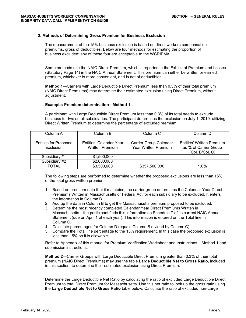#### **2. Methods of Determining Gross Premium for Business Exclusion**

The measurement of the 15% business exclusion is based on direct workers compensation premiums, gross of deductibles. Below are four methods for estimating the proportion of business excluded; any of these four are acceptable to the WCRIBMA.

Some methods use the NAIC Direct Premium, which is reported in the Exhibit of Premium and Losses (Statutory Page 14) in the NAIC Annual Statement. This premium can either be written or earned premium, whichever is more convenient, and is net of deductibles.

**Method 1**—Carriers with Large Deductible Direct Premium less than 0.3% of their total premium (NAIC Direct Premiums) may determine their estimated exclusion using Direct Premium, without adjustment.

#### **Example: Premium determination - Method 1**

A participant with Large Deductible Direct Premium less than 0.3% of its total needs to exclude business for two small subsidiaries. The participant determines the exclusion on July 1, 2019, utilizing Direct Written Premium to determine the percentage of excluded premium.

| Column A                                  | Column B                                          | Column <sub>C</sub>                            | Column D                                                                     |
|-------------------------------------------|---------------------------------------------------|------------------------------------------------|------------------------------------------------------------------------------|
| <b>Entities for Proposed</b><br>Exclusion | Entities' Calendar Year<br><b>Written Premium</b> | Carrier Group Calendar<br>Year Written Premium | <b>Entities' Written Premium</b><br>as % of Carrier Group<br>(Col. B/Col. C) |
| Subsidiary #1                             | \$1,500,000                                       |                                                |                                                                              |
| Subsidiary #2                             | \$2,000,000                                       |                                                |                                                                              |
| TOTAL                                     | \$3,500,000                                       | \$357,500,000                                  | 1.0%                                                                         |

The following steps are performed to determine whether the proposed exclusions are less than 15% of the total gross written premium.

- 1. Based on premium data that it maintains, the carrier group determines the Calendar Year Direct Premiums Written in Massachusetts or Federal Act for each subsidiary to be excluded. It enters the information in Column B.
- 2. Add up the data in Column B to get the Massachusetts premium proposed to be excluded.
- 3. Determine the most recently completed Calendar Year Direct Premiums Written in Massachusetts—the participant finds this information on Schedule T of its current NAIC Annual Statement (due on April 1 of each year). This information is entered on the Total line in Column C.
- 4. Calculate percentages for Column D (equals Column B divided by Column C).
- 5. Compare the Total line percentage to the 15% requirement. In this case the proposed exclusion is less than 15% so it is allowable.

Refer to Appendix of this manual for Premium Verification Worksheet and Instructions – Method 1 and submission instructions.

**Method 2**—Carrier Groups with Large Deductible Direct Premium greater than 0.3% of their total premium (NAIC Direct Premiums) may use the table **Large Deductible Net to Gross Ratio**, included in this section, to determine their estimated exclusion using Direct Premium.

Determine the Large Deductible Net Ratio by calculating the ratio of excluded Large Deductible Direct Premium to total Direct Premium for Massachusetts. Use this net ratio to look up the gross ratio using the **Large Deductible Net to Gross Ratio** table below. Calculate the ratio of excluded non-Large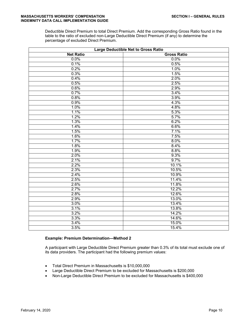Deductible Direct Premium to total Direct Premium. Add the corresponding Gross Ratio found in the table to the ratio of excluded non-Large Deductible Direct Premium (if any) to determine the percentage of excluded Direct Premium.

| <b>Large Deductible Net to Gross Ratio</b> |                    |  |
|--------------------------------------------|--------------------|--|
| <b>Net Ratio</b>                           | <b>Gross Ratio</b> |  |
| 0.0%                                       | 0.0%               |  |
| 0.1%                                       | 0.5%               |  |
| 0.2%                                       | 1.0%               |  |
| 0.3%                                       | 1.5%               |  |
| 0.4%                                       | 2.0%               |  |
| 0.5%                                       | 2.5%               |  |
| 0.6%                                       | 2.9%               |  |
| 0.7%                                       | 3.4%               |  |
| 0.8%                                       | 3.9%               |  |
| 0.9%                                       | 4.3%               |  |
| 1.0%                                       | 4.8%               |  |
| 1.1%                                       | 5.3%               |  |
| 1.2%                                       | 5.7%               |  |
| 1.3%                                       | 6.2%               |  |
| 1.4%                                       | 6.6%               |  |
| 1.5%                                       | 7.1%               |  |
| 1.6%                                       | 7.5%               |  |
| 1.7%                                       | 8.0%               |  |
| 1.8%                                       | 8.4%               |  |
| 1.9%                                       | 8.8%               |  |
| 2.0%                                       | 9.3%               |  |
| 2.1%                                       | 9.7%               |  |
| 2.2%                                       | 10.1%              |  |
| 2.3%                                       | 10.5%              |  |
| 2.4%                                       | 10.9%              |  |
| 2.5%                                       | 11.4%              |  |
| 2.6%                                       | 11.8%              |  |
| 2.7%                                       | 12.2%              |  |
| 2.8%                                       | 12.6%              |  |
| 2.9%                                       | 13.0%              |  |
| 3.0%                                       | 13.4%              |  |
| 3.1%                                       | 13.8%              |  |
| 3.2%                                       | 14.2%              |  |
| 3.3%                                       | 14.6%              |  |
| 3.4%                                       | 15.0%              |  |
| 3.5%                                       | 15.4%              |  |

#### **Example: Premium Determination—Method 2**

A participant with Large Deductible Direct Premium greater than 0.3% of its total must exclude one of its data providers. The participant had the following premium values:

- Total Direct Premium in Massachusetts is \$10,000,000
- Large Deductible Direct Premium to be excluded for Massachusetts is \$200,000
- Non-Large Deductible Direct Premium to be excluded for Massachusetts is \$400,000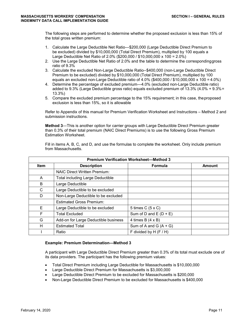The following steps are performed to determine whether the proposed exclusion is less than 15% of the total gross written premium:

- 1. Calculate the Large Deductible Net Ratio—\$200,000 (Large Deductible Direct Premium to be excluded) divided by \$10,000,000 (Total Direct Premium), multiplied by 100 equals a Large Deductible Net Ratio of 2.0% (\$200,000 / \$10,000,000 x 100 = 2.0%)
- 2. Use the Large Deductible Net Ratio of 2.0% and the table to determine the correspondinggross ratio of 9.3%
- 3. Calculate the excluded Non-Large Deductible Ratio--\$400,000 (non-Large Deductible Direct Premium to be excluded) divided by \$10,000,000 (Total Direct Premium), multiplied by 100 equals an excluded non-Large Deductible ratio of 4.0% (\$400,000 / \$10,000,000 x 100 = 4.0%)
- 4. Determine the percentage of excluded premium—4.0% (excluded non-Large Deductible ratio) added to 9.3% (Large Deductible gross ratio) equals excluded premium of 13.3% (4.0% + 9.3% = 13.3%)
- 5. Compare the excluded premium percentage to the 15% requirement; in this case, theproposed exclusion is less than 15%, so it is allowable

Refer to Appendix of this manual for Premium Verification Worksheet and Instructions – Method 2 and submission instructions.

**Method 3**—This is another option for carrier groups with Large Deductible Direct Premium greater than 0.3% of their total premium (NAIC Direct Premiums) is to use the following Gross Premium Estimation Worksheet.

| Fill in items A, B, C, and D, and use the formulas to complete the worksheet. Only include premium |  |
|----------------------------------------------------------------------------------------------------|--|
| from Massachusetts.                                                                                |  |

| <b>Premium Verification Worksheet-Method 3</b> |                                         |                          |        |  |
|------------------------------------------------|-----------------------------------------|--------------------------|--------|--|
| <b>Item</b>                                    | <b>Description</b>                      | <b>Formula</b>           | Amount |  |
|                                                | <b>NAIC Direct Written Premium:</b>     |                          |        |  |
| A                                              | <b>Total including Large Deductible</b> |                          |        |  |
| B                                              | Large Deductible                        |                          |        |  |
| C                                              | Large Deductible to be excluded         |                          |        |  |
| D                                              | Non-Large Deductible to be excluded     |                          |        |  |
|                                                | <b>Estimated Gross Premium:</b>         |                          |        |  |
| Е                                              | Large Deductible to be excluded         | 5 times $C$ (5 x C)      |        |  |
| F                                              | <b>Total Excluded</b>                   | Sum of D and $E(D + E)$  |        |  |
| G                                              | Add-on for Large Deductible business    | 4 times $B(4 \times B)$  |        |  |
| н                                              | <b>Estimated Total</b>                  | Sum of A and G $(A + G)$ |        |  |
|                                                | Ratio                                   | F divided by H $(F/H)$   |        |  |

#### **Example: Premium Determination—Method 3**

A participant with Large Deductible Direct Premium greater than 0.3% of its total must exclude one of its data providers. The participant has the following premium values:

- Total Direct Premium including Large Deductible for Massachusetts is \$10,000,000
- Large Deductible Direct Premium for Massachusetts is \$3,000,000
- Large Deductible Direct Premium to be excluded for Massachusetts is \$200,000
- Non-Large Deductible Direct Premium to be excluded for Massachusetts is \$400,000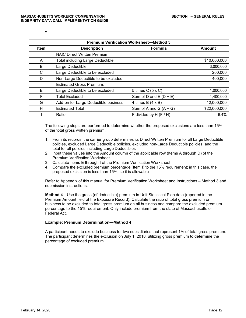•

| <b>Premium Verification Worksheet-Method 3</b> |                                         |                          |               |  |
|------------------------------------------------|-----------------------------------------|--------------------------|---------------|--|
| <b>Item</b>                                    | <b>Description</b>                      | <b>Formula</b>           | <b>Amount</b> |  |
|                                                | <b>NAIC Direct Written Premium:</b>     |                          |               |  |
| A                                              | <b>Total including Large Deductible</b> |                          | \$10,000,000  |  |
| B                                              | Large Deductible                        |                          | 3,000,000     |  |
| C                                              | Large Deductible to be excluded         |                          | 200,000       |  |
| D                                              | Non-Large Deductible to be excluded     |                          | 400,000       |  |
|                                                | <b>Estimated Gross Premium:</b>         |                          |               |  |
| E                                              | Large Deductible to be excluded         | 5 times C (5 x C)        | 1,000,000     |  |
| F                                              | <b>Total Excluded</b>                   | Sum of D and $E(D + E)$  | 1,400,000     |  |
| G                                              | Add-on for Large Deductible business    | 4 times B $(4 \times B)$ | 12,000,000    |  |
| H                                              | <b>Estimated Total</b>                  | Sum of A and G $(A + G)$ | \$22,000,000  |  |
|                                                | Ratio                                   | F divided by H $(F/H)$   | 6.4%          |  |

The following steps are performed to determine whether the proposed exclusions are less than 15% of the total gross written premium:

- 1. From its records, the carrier group determines its Direct Written Premium for all Large Deductible policies, excluded Large Deductible policies, excluded non-Large Deductible policies, and the total for all policies including Large Deductibles
- 2. Input these values into the Amount column of the applicable row (Items A through D) of the Premium Verification Worksheet
- 3. Calculate Items E through I of the Premium Verification Worksheet
- 4. Compare the excluded premium percentage (Item I) to the 15% requirement; in this case, the proposed exclusion is less than 15%, so it is allowable

Refer to Appendix of this manual for Premium Verification Worksheet and Instructions – Method 3 and submission instructions.

**Method 4**—Use the gross (of deductible) premium in Unit Statistical Plan data (reported in the Premium Amount field of the Exposure Record). Calculate the ratio of total gross premium on business to be excluded to total gross premium on all business and compare the excluded premium percentage to the 15% requirement. Only include premium from the state of Massachusetts or Federal Act.

#### **Example: Premium Determination—Method 4**

A participant needs to exclude business for two subsidiaries that represent 1% of total gross premium. The participant determines the exclusion on July 1, 2018, utilizing gross premium to determine the percentage of excluded premium.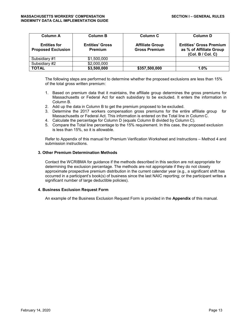| <b>Column A</b>                                  | <b>Column B</b>                   | Column C                                       | <b>Column D</b>                                                                |
|--------------------------------------------------|-----------------------------------|------------------------------------------------|--------------------------------------------------------------------------------|
| <b>Entities for</b><br><b>Proposed Exclusion</b> | <b>Entities' Gross</b><br>Premium | <b>Affiliate Group</b><br><b>Gross Premium</b> | <b>Entities' Gross Premium</b><br>as % of Affiliate Group<br>(Col. B / Col. C) |
| Subsidiary #1                                    | \$1,500,000                       |                                                |                                                                                |
| Subsidiary #2                                    | \$2,000,000                       |                                                |                                                                                |
| <b>TOTAL</b>                                     | \$3,500,000                       | \$357,500,000                                  | $1.0\%$                                                                        |

The following steps are performed to determine whether the proposed exclusions are less than 15% of the total gross written premium:

- 1. Based on premium data that it maintains, the affiliate group determines the gross premiums for Massachusetts or Federal Act for each subsidiary to be excluded. It enters the information in Column B.
- 2. Add up the data in Column B to get the premium proposed to be excluded.
- 3. Determine the 2017 workers compensation gross premiums for the entire affiliate group for Massachusetts or Federal Act. This information is entered on the Total line in Column C.
- 4. Calculate the percentage for Column D (equals Column B divided by Column C).
- 5. Compare the Total line percentage to the 15% requirement. In this case, the proposed exclusion is less than 15%, so it is allowable.

Refer to Appendix of this manual for Premium Verification Worksheet and Instructions – Method 4 and submission instructions.

#### **3. Other Premium Determination Methods**

Contact the WCRIBMA for guidance if the methods described in this section are not appropriate for determining the exclusion percentage. The methods are not appropriate if they do not closely approximate prospective premium distribution in the current calendar year (e.g., a significant shift has occurred in a participant's book(s) of business since the last NAIC reporting; or the participant writes a significant number of large deductible policies).

#### **4. Business Exclusion Request Form**

An example of the Business Exclusion Request Form is provided in the **Appendix** of this manual.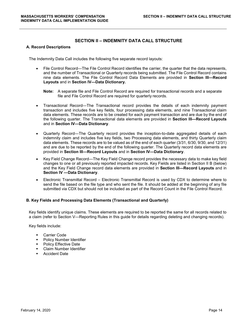## **SECTION II – INDEMNITY DATA CALL STRUCTURE**

#### **A. Record Descriptions**

The Indemnity Data Call includes the following five separate record layouts:

- File Control Record—The File Control Record identifies the carrier, the quarter that the data represents, and the number of Transactional or Quarterly records being submitted. The File Control Record contains nine data elements. The File Control Record Data Elements are provided in **Section III—Record Layouts** and in **Section IV—Data Dictionary.**
	- **Note:** A separate file and File Control Record are required for transactional records and a separate file and File Control Record are required for quarterly records.
- Transactional Record—The Transactional record provides the details of each indemnity payment transaction and includes five key fields, four processing data elements, and nine Transactional claim data elements. These records are to be created for each payment transaction and are due by the end of the following quarter. The Transactional data elements are provided in **Section III—Record Layouts**  and in **Section IV—Data Dictionary**.
- Quarterly Record—The Quarterly record provides the inception-to-date aggregated details of each indemnity claim and includes five key fields, two Processing data elements, and thirty Quarterly claim data elements. These records are to be valued as of the end of each quarter (3/31, 6/30, 9/30, and 12/31) and are due to be reported by the end of the following quarter. The Quarterly record data elements are provided in **Section III—Record Layouts** and in **Section IV—Data Dictionary**.
- Key Field Change Record—The Key Field Change record provides the necessary data to make key field changes to one or all previously reported impacted records. Key Fields are listed in Section II B (below) and the Key Field Change record data elements are provided in **Section III—Record Layouts** and in **Section IV —Data Dictionary**.
- Electronic Transmittal Record Electronic Transmittal Record is used by CDX to determine where to send the file based on the file type and who sent the file. It should be added at the beginning of any file submitted via CDX but should not be included as part of the Record Count in the File Control Record.

#### **B. Key Fields and Processing Data Elements (Transactional and Quarterly)**

Key fields identify unique claims. These elements are required to be reported the same for all records related to a claim (refer to Section V—Reporting Rules in this guide for details regarding deleting and changing records).

Key fields include:

- **Carrier Code**
- **Policy Number Identifier**
- **•** Policy Effective Date
- **Claim Number Identifier**
- Accident Date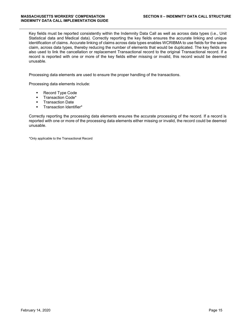Key fields must be reported consistently within the Indemnity Data Call as well as across data types (i.e., Unit Statistical data and Medical data). Correctly reporting the key fields ensures the accurate linking and unique identification of claims. Accurate linking of claims across data types enables WCRIBMA to use fields for the same claim, across data types, thereby reducing the number of elements that would be duplicated. The key fields are also used to link the cancellation or replacement Transactional record to the original Transactional record. If a record is reported with one or more of the key fields either missing or invalid, this record would be deemed unusable.

Processing data elements are used to ensure the proper handling of the transactions.

Processing data elements include:

- **Record Type Code**
- **Transaction Code\***
- **Transaction Date**
- **Transaction Identifier\***

Correctly reporting the processing data elements ensures the accurate processing of the record. If a record is reported with one or more of the processing data elements either missing or invalid, the record could be deemed unusable.

\*Only applicable to the Transactional Record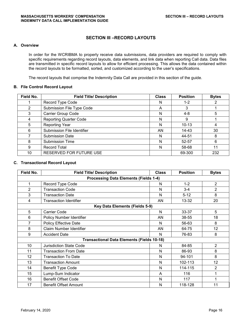## **SECTION III –RECORD LAYOUTS**

## **A. Overview**

In order for the WCRIBMA to properly receive data submissions, data providers are required to comply with specific requirements regarding record layouts, data elements, and link data when reporting Call data. Data files are transmitted in specific record layouts to allow for efficient processing. This allows the data contained within the record layouts to be formatted, sorted, and customized according to the user's specifications.

The record layouts that comprise the Indemnity Data Call are provided in this section of the guide.

#### **B. File Control Record Layout**

| Field No.      | <b>Field Title/ Description</b> | <b>Class</b> | <b>Position</b> | <b>Bytes</b> |
|----------------|---------------------------------|--------------|-----------------|--------------|
|                | Record Type Code                | N            | $1 - 2$         | 2            |
| $\overline{2}$ | Submission File Type Code       | A            | 3               |              |
| 3              | <b>Carrier Group Code</b>       | N            | $4 - 8$         | 5            |
| 4              | <b>Reporting Quarter Code</b>   | N            | 9               |              |
| 5              | <b>Reporting Year</b>           | N            | $10 - 13$       | 4            |
| 6              | Submission File Identifier      | AN           | 14-43           | 30           |
|                | <b>Submission Date</b>          | N            | 44-51           | 8            |
| 8              | <b>Submission Time</b>          | N            | 52-57           | 6            |
| 9              | <b>Record Total</b>             | N            | 58-68           | 11           |
| 10             | RESERVED FOR FUTURE USE         |              | 69-300          | 232          |

#### **C. Transactional Record Layout**

| Field No.      | <b>Field Title/ Description</b>                   | <b>Class</b> | <b>Position</b> | <b>Bytes</b>   |
|----------------|---------------------------------------------------|--------------|-----------------|----------------|
|                | <b>Processing Data Elements (Fields 1-4)</b>      |              |                 |                |
| 1              | Record Type Code                                  | N            | $1 - 2$         | $\overline{2}$ |
| $\overline{2}$ | <b>Transaction Code</b>                           | N            | $3 - 4$         | $\overline{2}$ |
| 3              | <b>Transaction Date</b>                           | N            | $5 - 12$        | 8              |
| 4              | <b>Transaction Identifier</b>                     | AN           | 13-32           | 20             |
|                | Key Data Elements (Fields 5-9)                    |              |                 |                |
| 5              | <b>Carrier Code</b>                               | N            | 33-37           | 5              |
| 6              | Policy Number Identifier                          | AN           | 38-55           | 18             |
| 7              | <b>Policy Effective Date</b>                      | N            | 56-63           | 8              |
| 8              | Claim Number Identifier                           | AN           | 64-75           | 12             |
| 9              | <b>Accident Date</b>                              | N            | 76-83           | 8              |
|                | <b>Transactional Data Elements (Fields 10-18)</b> |              |                 |                |
| 10             | <b>Jurisdiction State Code</b>                    | N            | 84-85           | $\overline{2}$ |
| 11             | <b>Transaction From Date</b>                      | N            | 86-93           | 8              |
| 12             | <b>Transaction To Date</b>                        | N            | 94-101          | 8              |
| 13             | <b>Transaction Amount</b>                         | N            | 102-113         | 12             |
| 14             | <b>Benefit Type Code</b>                          | N            | 114-115         | $\overline{2}$ |
| 15             | Lump-Sum Indicator                                | A            | 116             | 1              |
| 16             | <b>Benefit Offset Code</b>                        | N            | 117             |                |
| 17             | <b>Benefit Offset Amount</b>                      | N            | 118-128         | 11             |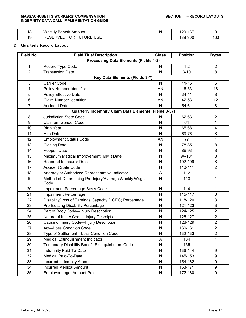#### MASSACHUSETTS WORKERS' COMPENSATION SECTION III – RECORD LAYOUTS **INDEMNITY DATA CALL IMPLEMENTATION GUIDE**

| 18        | .<br>Weeklv<br>∶Amount<br><b>Benetit</b>                                                          | N | $\lambda$ $\sim$<br>'29-<br>، ب | ີ   |
|-----------|---------------------------------------------------------------------------------------------------|---|---------------------------------|-----|
| 10<br>ت ا | <b>USE</b><br><b>FOR</b><br><b>BEAFR</b><br>$\sqrt{2}$<br><b>FUTURE</b><br>…robkv⊢'' i<br>ັັ<br>∼ |   | 138-300                         | 163 |

## **D. Quarterly Record Layout**

| Field No.      | <b>Field Title/ Description</b>                              | <b>Class</b> | <b>Position</b> | <b>Bytes</b>   |  |
|----------------|--------------------------------------------------------------|--------------|-----------------|----------------|--|
|                | <b>Processing Data Elements (Fields 1-2)</b>                 |              |                 |                |  |
| $\mathbf{1}$   | Record Type Code                                             | N            | $1 - 2$         | $\overline{2}$ |  |
| $\overline{2}$ | <b>Transaction Date</b>                                      | $\mathsf{N}$ | $3 - 10$        | 8              |  |
|                | Key Data Elements (Fields 3-7)                               |              |                 |                |  |
| $\mathbf{3}$   | <b>Carrier Code</b>                                          | $\mathsf{N}$ | $11 - 15$       | 5              |  |
| $\overline{4}$ | Policy Number Identifier                                     | AN           | 16-33           | 18             |  |
| 5              | <b>Policy Effective Date</b>                                 | N            | 34-41           | 8              |  |
| $\,6\,$        | <b>Claim Number Identifier</b>                               | AN           | 42-53           | 12             |  |
| $\overline{7}$ | <b>Accident Date</b>                                         | $\mathsf{N}$ | 54-61           | 8              |  |
|                | Quarterly Indemnity Claim Data Elements (Fields 8-37)        |              |                 |                |  |
| 8              | <b>Jurisdiction State Code</b>                               | N            | 62-63           | $\overline{c}$ |  |
| 9              | <b>Claimant Gender Code</b>                                  | N            | 64              | 1              |  |
| 10             | <b>Birth Year</b>                                            | N            | 65-68           | 4              |  |
| 11             | <b>Hire Date</b>                                             | N            | 69-76           | 8              |  |
| 12             | <b>Employment Status Code</b>                                | AN           | 77              | 1              |  |
| 13             | <b>Closing Date</b>                                          | N            | 78-85           | 8              |  |
| 14             | Reopen Date                                                  | N            | 86-93           | 8              |  |
| 15             | Maximum Medical Improvement (MMI) Date                       | N            | 94-101          | 8              |  |
| 16             | Reported to Insurer Date                                     | N            | 102-109         | 8              |  |
| 17             | <b>Accident State Code</b>                                   | ${\sf N}$    | 110-111         | $\overline{2}$ |  |
| 18             | Attorney or Authorized Representative Indicator              | A            | 112             | 1              |  |
| 19             | Method of Determining Pre-Injury/Average Weekly Wage<br>Code | N            | 113             | 1              |  |
| 20             | Impairment Percentage Basis Code                             | N            | 114             | 1              |  |
| 21             | Impairment Percentage                                        | N            | 115-117         | 3              |  |
| 22             | Disability/Loss of Earnings Capacity (LOEC) Percentage       | N            | 118-120         | 3              |  |
| 23             | Pre-Existing Disability Percentage                           | N            | 121-123         | 3              |  |
| 24             | Part of Body Code-Injury Description                         | N            | 124-125         | $\overline{2}$ |  |
| 25             | Nature of Injury Code-Injury Description                     | N            | 126-127         | $\overline{2}$ |  |
| 26             | Cause of Injury Code-Injury Description                      | N            | 128-129         | $\overline{2}$ |  |
| 27             | <b>Act-Loss Condition Code</b>                               | N            | 130-131         | $\overline{2}$ |  |
| 28             | Type of Settlement-Loss Condition Code                       | N            | 132-133         | $\overline{c}$ |  |
| 29             | Medical Extinguishment Indicator                             | A            | 134             | 1              |  |
| 30             | Temporary Disability Benefit Extinguishment Code             | ${\sf N}$    | 135             | 1              |  |
| 31             | Indemnity Paid-To-Date                                       | N            | 136-144         | 9              |  |
| 32             | Medical Paid-To-Date                                         | N            | 145-153         | 9              |  |
| 33             | Incurred Indemnity Amount                                    | N            | 154-162         | 9              |  |
| 34             | <b>Incurred Medical Amount</b>                               | N            | 163-171         | 9              |  |
| 35             | Employer Legal Amount Paid                                   | ${\sf N}$    | 172-180         | 9              |  |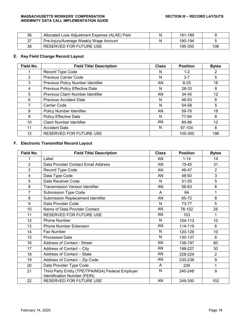#### MASSACHUSETTS WORKERS' COMPENSATION SECTION III – RECORD LAYOUTS **INDEMNITY DATA CALL IMPLEMENTATION GUIDE**

| 36  | Allocated Loss Adiustment Expense (ALAE) Paid | 181-189 |     |
|-----|-----------------------------------------------|---------|-----|
| -37 | Pre-Injury/Average Weekly Wage Amount         | 190-194 |     |
| 38  | RESERVED FOR FUTURE USE                       | 195-300 | 106 |

#### **E. Key Field Change Record Layout**

| Field No. | <b>Field Title/ Description</b>   | <b>Class</b> | <b>Position</b> | <b>Bytes</b> |
|-----------|-----------------------------------|--------------|-----------------|--------------|
|           | Record Type Code                  | N            | $1 - 2$         | 2            |
| 2         | <b>Previous Carrier Code</b>      | N            | $3 - 7$         | 5            |
| 3         | Previous Policy Number Identifier | AN           | $8 - 25$        | 18           |
| 4         | Previous Policy Effective Date    | N            | 26-33           | 8            |
| 5         | Previous Claim Number Identifier  | AN           | 34-45           | 12           |
| 6         | <b>Previous Accident Date</b>     | N            | 46-53           | 8            |
| 7         | <b>Carrier Code</b>               | N            | 54-58           | 5            |
| 8         | Policy Number Identifier          | AN.          | 59-76           | 18           |
| 9         | Policy Effective Date             | N            | 77-84           | 8            |
| 10        | Claim Number Identifier           | AN.          | 85-96           | 12           |
| 11        | <b>Accident Date</b>              | N            | 97-104          | 8            |
| 12        | RESERVED FOR FUTURE USE           |              | 105-300         | 196          |

## **F. Electronic Transmittal Record Layout**

| Field No.        | <b>Field Title/ Description</b>                                                   | <b>Class</b> | <b>Position</b> | <b>Bytes</b>   |
|------------------|-----------------------------------------------------------------------------------|--------------|-----------------|----------------|
|                  | Label                                                                             | AN           | $1 - 14$        | 14             |
| $\overline{2}$   | Data Provider Contact Email Address                                               | AN           | 15-45           | 31             |
| 3                | Record Type Code                                                                  | AN           | 46-47           | 2              |
| $\overline{4}$   | Data Type Code                                                                    | AN           | 48-50           | 3              |
| 5                | Data Receiver Code                                                                | N            | 51-55           | 5              |
| $6\phantom{1}$   | <b>Transmission Version Identifier</b>                                            | AN           | 56-63           | 8              |
| 7                | <b>Submission Type Code</b>                                                       | A            | 64              | 1              |
| 8                | Submission Replacement Identifier                                                 | AN           | 65-72           | 8              |
| $\boldsymbol{9}$ | Data Provider Code                                                                | N            | 73-77           | 5              |
| 10               | Name of Data Provider Contact                                                     | AN           | 78-102          | 25             |
| 11               | RESERVED FOR FUTURE USE                                                           | AN           | 103             | 1              |
| 12               | <b>Phone Number</b>                                                               | N            | 104-113         | 10             |
| 13               | <b>Phone Number Extension</b>                                                     | AN           | 114-119         | 6              |
| 14               | Fax Number                                                                        | N            | 120-129         | 10             |
| 15               | <b>Processed Date</b>                                                             | N            | 130-137         | 8              |
| 16               | <b>Address of Contact - Street</b>                                                | AN           | 138-197         | 60             |
| 17               | Address of Contact - City                                                         | AN           | 198-227         | 30             |
| 18               | Address of Contact - State                                                        | AN           | 228-229         | $\overline{2}$ |
| 19               | Address of Contact - Zip Code                                                     | AN           | 230-238         | 9              |
| 20               | Data Provider Type Code                                                           | A            | 239             | 1              |
| 21               | Third Party Entity (TPE/TPA/MGA) Federal Employer<br>Identification Number (FEIN) | N            | 240-248         | 9              |
| 22               | RESERVED FOR FUTURE USE                                                           | AN           | 249-350         | 102            |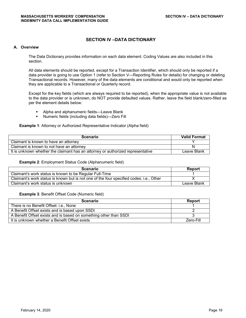## **SECTION IV –DATA DICTIONARY**

#### **A. Overview**

The Data Dictionary provides information on each data element. Coding Values are also included in this section.

All data elements should be reported, except for a Transaction Identifier, which should only be reported if a data provider is going to use Option 1 (refer to Section V—Reporting Rules for details) for changing or deleting Transactional records. However, many of the data elements are conditional and would only be reported when they are applicable to a Transactional or Quarterly record.

Except for the key fields (which are always required to be reported), when the appropriate value is not available to the data provider or is unknown, do NOT provide defaulted values. Rather, leave the field blank/zero-filled as per the element details below:

- **Alpha and alphanumeric fields—Leave Blank**
- Numeric fields (including data fields)—Zero Fill

**Example 1**: Attorney or Authorized Representative Indicator (Alpha field)

| <b>Scenario</b>                                                                 | <b>Valid Format</b> |
|---------------------------------------------------------------------------------|---------------------|
| Claimant is known to have an attorney                                           |                     |
| Claimant is known to not have an attorney                                       |                     |
| It is unknown whether the claimant has an attorney or authorized representative | Leave Blank         |

#### **Example 2**: Employment Status Code (Alphanumeric field)

| <b>Scenario</b>                                                                         | Report      |
|-----------------------------------------------------------------------------------------|-------------|
| Claimant's work status is known to be Regular Full-Time                                 |             |
| Claimant's work status is known but is not one of the four specified codes: i.e., Other |             |
| Claimant's work status is unknown                                                       | Leave Blank |

#### **Example 3**: Benefit Offset Code (Numeric field)

| <b>Scenario</b>                                                   | <b>Report</b> |
|-------------------------------------------------------------------|---------------|
| There is no Benefit Offset: i.e., None                            |               |
| A Benefit Offset exists and is based upon SSDI                    |               |
| A Benefit Offset exists and is based on something other than SSDI |               |
| It is unknown whether a Benefit Offset exists                     | Zero-Fill     |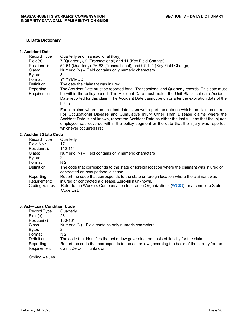### **B. Data Dictionary**

#### **1. Accident Date**

| Record Type               | Quarterly and Transactional (Key)                                                                                                                                                                                                                                                                             |
|---------------------------|---------------------------------------------------------------------------------------------------------------------------------------------------------------------------------------------------------------------------------------------------------------------------------------------------------------|
| Field(s)                  | 7 (Quarterly), 9 (Transactional) and 11 (Key Field Change)                                                                                                                                                                                                                                                    |
| Position(s):              | 54-61 (Quarterly), 76-83 (Transactional), and 97-104 (Key Field Change)                                                                                                                                                                                                                                       |
| Class:                    | Numeric (N) - Field contains only numeric characters                                                                                                                                                                                                                                                          |
| Bytes:                    | 8                                                                                                                                                                                                                                                                                                             |
| Format:                   | YYYYMMDD                                                                                                                                                                                                                                                                                                      |
| Definition:               | The date the claimant was injured.                                                                                                                                                                                                                                                                            |
| Reporting<br>Requirement: | The Accident Date must be reported for all Transactional and Quarterly records. This date must<br>be within the policy period. The Accident Date must match the Unit Statistical data Accident<br>Date reported for this claim. The Accident Date cannot be on or after the expiration date of the<br>policy. |
|                           | For all claims where the accident date is known, report the date on which the claim occurred.<br>For Occupational Disease and Cumulative Injury Other Than Disease claims where the<br>A coldered Date le real historic personal des A colderat Date ses slikes des legat full deut des distances de          |

Accident Date is not known, report the Accident Date as either the last full day that the injured employee was covered within the policy segment or the date that the injury was reported, whichever occurred first.

#### **2. Accident State Code**

| Record Type    | Quarterly                                                                                                                           |
|----------------|-------------------------------------------------------------------------------------------------------------------------------------|
| Field No.:     | 17                                                                                                                                  |
| Position(s):   | 110-111                                                                                                                             |
| Class:         | Numeric (N) - Field contains only numeric characters                                                                                |
| Bytes:         |                                                                                                                                     |
| Format:        | N <sub>2</sub>                                                                                                                      |
| Definition:    | The code that corresponds to the state or foreign location where the claimant was injured or<br>contracted an occupational disease. |
| Reporting      | Report the code that corresponds to the state or foreign location where the claimant was                                            |
| Requirement:   | injured or contracted a disease. Zero-fill if unknown.                                                                              |
| Coding Values: | Refer to the Workers Compensation Insurance Organizations (WCIO) for a complete State                                               |
|                | Code List.                                                                                                                          |

#### **3. Act—Loss Condition Code**

| Record Type              | Quarterly                                                                                                                       |
|--------------------------|---------------------------------------------------------------------------------------------------------------------------------|
| Field(s)                 | 28                                                                                                                              |
| Position(s)              | 130-131                                                                                                                         |
| Class                    | Numeric (N)—Field contains only numeric characters                                                                              |
| <b>Bytes</b>             | ົ                                                                                                                               |
| Format                   | N 2                                                                                                                             |
| Definition               | The code that identifies the act or law governing the basis of liability for the claim                                          |
| Reporting<br>Requirement | Report the code that corresponds to the act or law governing the basis of the liability for the<br>claim. Zero-fill if unknown. |

Coding Values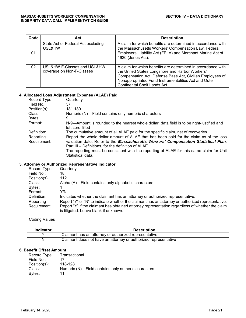| Code | Act                                                      | <b>Description</b>                                                                                                                                                                                                                                                          |
|------|----------------------------------------------------------|-----------------------------------------------------------------------------------------------------------------------------------------------------------------------------------------------------------------------------------------------------------------------------|
| 01   | State Act or Federal Act excluding<br>USL&HW             | A claim for which benefits are determined in accordance with<br>the Massachusetts Workers' Compensation Law, Federal<br>Employers' Liability Act (FELA) and Merchant Marine Act of<br>1920 (Jones Act).                                                                     |
| 02   | USL&HW F-Classes and USL&HW<br>coverage on Non-F-Classes | A claim for which benefits are determined in accordance with<br>the United States Longshore and Harbor Workers'<br>Compensation Act, Defense Base Act, Civilian Employees of<br>Nonappropriated Fund Instrumentalities Act and Outer<br><b>Continental Shelf Lands Act.</b> |

### **4. Allocated Loss Adjustment Expense (ALAE) Paid**

| Record Type               | Quarterly                                                                                                                                                                                                                           |
|---------------------------|-------------------------------------------------------------------------------------------------------------------------------------------------------------------------------------------------------------------------------------|
| Field No.:                | 37                                                                                                                                                                                                                                  |
| Position(s):              | 181-189                                                                                                                                                                                                                             |
| Class:                    | Numeric (N) - Field contains only numeric characters                                                                                                                                                                                |
| Bytes:                    | 9                                                                                                                                                                                                                                   |
| Format:                   | N-9—Amount is rounded to the nearest whole dollar; data field is to be right-justified and<br>left zero-filled                                                                                                                      |
| Definition:               | The cumulative amount of all ALAE paid for the specific claim, net of recoveries.                                                                                                                                                   |
| Reporting<br>Requirement: | Report the whole-dollar amount of ALAE that has been paid for the claim as of the loss<br>valuation date. Refer to the Massachusetts Workers' Compensation Statistical Plan,<br>Part III - Definitions, for the definition of ALAE. |
|                           | The reporting must be consistent with the reporting of ALAE for this same claim for Unit<br>Statistical data.                                                                                                                       |

### **5. Attorney or Authorized Representative Indicator**

| Record Type  | Quarterly                                                                                        |
|--------------|--------------------------------------------------------------------------------------------------|
| Field No.:   | 18                                                                                               |
| Position(s): | 112                                                                                              |
| Class:       | Alpha (A)—Field contains only alphabetic characters                                              |
| Bytes:       |                                                                                                  |
| Format:      | Y/N                                                                                              |
| Definition:  | Indicates whether the claimant has an attorney or authorized representative.                     |
| Reporting    | Report "Y" or "N" to indicate whether the claimant has an attorney or authorized representative. |
| Requirement: | Report "Y" if the claimant has obtained attorney representation regardless of whether the claim  |
|              | is litigated. Leave blank if unknown.                                                            |

Coding Values

| Indicator | Description                                                     |
|-----------|-----------------------------------------------------------------|
|           | Claimant has an attorney or authorized representative           |
|           | Claimant does not have an attorney or authorized representative |

## **6. Benefit Offset Amount**

| Transactional                                      |
|----------------------------------------------------|
| 17                                                 |
| 118-128                                            |
| Numeric (N)—Field contains only numeric characters |
| 11                                                 |
|                                                    |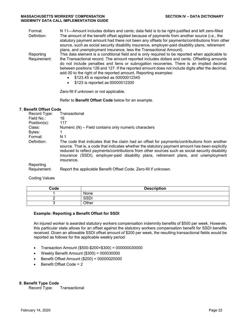| Format:     | N 11—Amount includes dollars and cents; data field is to be right-justified and left zero-filled |
|-------------|--------------------------------------------------------------------------------------------------|
| Definition: | The amount of the benefit offset applied because of payments from another source (i.e., the      |
|             | statutory payment amount had there not been any offsets for payments/contributions from other    |
|             | source, such as social security disability insurance, employer-paid disability plans, retirement |
|             | plans, and unemployment insurance, less the Transactional Amount).                               |
| Reporting   | This data element is a conditional field and is only required to be reported when applicable to  |

the Transactional record. The amount reported includes dollars and cents. Offsetting amounts do not include penalties and liens or subrogation recoveries. There is an implied decimal between positions 126 and 127. If the reported amount does not include digits after the decimal, add 00 to the right of the reported amount. Reporting examples:

- \$123.45 is reported as 00000012345
- \$123 is reported as 00000012300

Zero-fill if unknown or not applicable.

Refer to **Benefit Offset Code** below for an example.

#### **7. Benefit Offset Code**

Requirement:

| Record Type:              | Transactional                                                                                                                                                                                                                                                                                                                                                                                            |
|---------------------------|----------------------------------------------------------------------------------------------------------------------------------------------------------------------------------------------------------------------------------------------------------------------------------------------------------------------------------------------------------------------------------------------------------|
| Field No.:                | 16                                                                                                                                                                                                                                                                                                                                                                                                       |
| Position(s):              | 117                                                                                                                                                                                                                                                                                                                                                                                                      |
| Class:                    | Numeric (N) – Field contains only numeric characters                                                                                                                                                                                                                                                                                                                                                     |
| Bytes:                    | 1                                                                                                                                                                                                                                                                                                                                                                                                        |
| Format:                   | N 1                                                                                                                                                                                                                                                                                                                                                                                                      |
| Definition:               | The code that indicates that the claim had an offset for payments/contributions from another<br>source. That is, a code that indicates whether the statutory payment amount has been explicitly<br>reduced to reflect payments/contributions from other sources such as social security disability<br>insurance (SSDI), employer-paid disability plans, retirement plans, and unemployment<br>insurance. |
| Reporting<br>Requirement: | Report the applicable Benefit Offset Code. Zero-fill if unknown.                                                                                                                                                                                                                                                                                                                                         |

Coding Values

| Code | <b>Description</b> |
|------|--------------------|
|      | None               |
|      | <b>SSD</b>         |
|      | Other              |

#### **Example: Reporting a Benefit Offset for SSDI**

An injured worker is awarded statutory workers compensation indemnity benefits of \$500 per week. However, this particular state allows for an offset against the statutory workers compensation benefit for SSDI benefits received. Given an allowable SSDI offset amount of \$200 per week, the resulting transactional fields would be reported as follows for the applicable weekly period:

- Transaction Amount (\$500-\$200=\$300) = 000000030000
- Weekly Benefit Amount (\$300) = 000030000
- Benefit Offset Amount (\$200) = 00000020000
- Benefit Offset Code = 2

**8. Benefit Type Code** Record Type: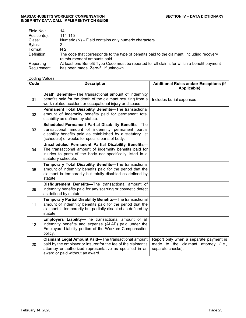| Field No.:   | 14                                                                                                                       |
|--------------|--------------------------------------------------------------------------------------------------------------------------|
| Position(s): | 114-115                                                                                                                  |
| Class:       | Numeric (N) – Field contains only numeric characters                                                                     |
| Bytes:       |                                                                                                                          |
| Format:      | N 2                                                                                                                      |
| Definition:  | The code that corresponds to the type of benefits paid to the claimant, including recovery<br>reimbursement amounts paid |
| Reporting    | At least one Benefit Type Code must be reported for all claims for which a benefit payment                               |
| Requirement: | has been made. Zero-fill if unknown.                                                                                     |

<u> 1980 - Johann Barn, mars ann an t-Amhain Aonaich an t-Aonaich an t-Aonaich ann an t-Aonaich ann an t-Aonaich</u>

## **Coding Values**

| Code | <b>Description</b>                                                                                                                                                                                                           | <b>Additional Rules and/or Exceptions (If</b><br>Applicable)                                        |
|------|------------------------------------------------------------------------------------------------------------------------------------------------------------------------------------------------------------------------------|-----------------------------------------------------------------------------------------------------|
| 01   | <b>Death Benefits</b> —The transactional amount of indemnity<br>benefits paid for the death of the claimant resulting from a<br>work-related accident or occupational injury or disease.                                     | Includes burial expenses                                                                            |
| 02   | Permanent Total Disability Benefits-The transactional<br>amount of indemnity benefits paid for permanent total<br>disability as defined by statute.                                                                          |                                                                                                     |
| 03   | Scheduled Permanent Partial Disability Benefits-The<br>transactional amount of indemnity permanent partial<br>disability benefits paid as established by a statutory list<br>(schedule) of weeks for specific parts of body. |                                                                                                     |
| 04   | Unscheduled Permanent Partial Disability Benefits-<br>The transactional amount of indemnity benefits paid for<br>injuries to parts of the body not specifically listed in a<br>statutory schedule.                           |                                                                                                     |
| 05   | Temporary Total Disability Benefits-The transactional<br>amount of indemnity benefits paid for the period that the<br>claimant is temporarily but totally disabled as defined by<br>statute.                                 |                                                                                                     |
| 09   | Disfigurement Benefits-The transactional amount of<br>indemnity benefits paid for any scarring or cosmetic defect<br>as defined by statute.                                                                                  |                                                                                                     |
| 11   | Temporary Partial Disability Benefits-The transactional<br>amount of indemnity benefits paid for the period that the<br>claimant is temporarily but partially disabled as defined by<br>statute.                             |                                                                                                     |
| 12   | Employers Liability-The transactional amount of all<br>indemnity benefits and expense (ALAE) paid under the<br>Employers Liability portion of the Workers Compensation<br>policy.                                            |                                                                                                     |
| 20   | Claimant Legal Amount Paid-The transactional amount<br>paid by the employer or insurer for the fee of the claimant's<br>attorney or authorized representative as specified in an<br>award or paid without an award.          | Report only when a separate payment is<br>made to the claimant attorney (i.e.,<br>separate checks). |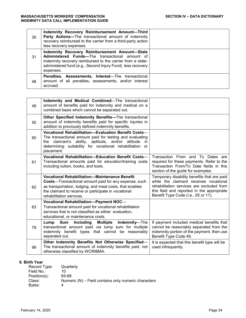| 30 | Indemnity Recovery Reimbursement Amount-Third<br><b>Party Actions--The transactional amount of indemnity</b><br>recovery reimbursed to the carrier from a third-party action<br>less recovery expenses.                                         |  |
|----|-------------------------------------------------------------------------------------------------------------------------------------------------------------------------------------------------------------------------------------------------|--|
| 31 | Indemnity Recovery Reimbursement Amount-State<br><b>Administered Funds—The transactional amount of</b><br>indemnity recovery reimbursed to the carrier from a state-<br>administered fund (e.g., Second Injury Fund) less recovery<br>expenses. |  |
| 48 | Penalties, Assessments, Interest-The transactional<br>amount of all penalties, assessments, and/or interest<br>accrued.                                                                                                                         |  |

| 49 | Indemnity and Medical Combined-The transactional<br>amount of benefits paid for indemnity and medical on a<br>combined basis which cannot be separated out.                                                                                                           |                                                                                                                                                                                                                         |
|----|-----------------------------------------------------------------------------------------------------------------------------------------------------------------------------------------------------------------------------------------------------------------------|-------------------------------------------------------------------------------------------------------------------------------------------------------------------------------------------------------------------------|
| 50 | Other Specified Indemnity Benefits-The transactional<br>amount of indemnity benefits paid for specific injuries in<br>addition to previously defined indemnity benefits.                                                                                              |                                                                                                                                                                                                                         |
| 60 | Vocational Rehabilitation-Evaluation Benefit Costs-<br>The transactional amount paid for testing and evaluating<br>the claimant's ability, aptitude, and/or attitude<br>in.<br>determining suitability for vocational rehabilitation<br>or<br>placement.              |                                                                                                                                                                                                                         |
| 61 | Vocational Rehabilitation-Education Benefit Costs-<br>Transactional amounts paid for education/training costs<br>including tuition, books, and tools.                                                                                                                 | Transaction From and To Dates are<br>required for these payments. Refer to the<br>Transaction From/To Date fields in this<br>section of the guide for examples.                                                         |
| 62 | <b>Vocational Rehabilitation-Maintenance Benefit</b><br><b>Costs</b> —Transactional amount paid for any expense, such<br>as transportation, lodging, and meal costs, that enables<br>the claimant to receive or participate in vocational<br>rehabilitation services. | Temporary disability benefits that are paid<br>while the claimant receives vocational<br>rehabilitation services are excluded from<br>this field and reported in the appropriate<br>Benefit Type Code (i.e., 05 or 11). |
| 63 | Vocational Rehabilitation-Payment NOC-<br>Transactional amount paid for vocational rehabilitation<br>services that is not classified as either evaluation,<br>educational, or maintenance costs.                                                                      |                                                                                                                                                                                                                         |
| 79 | Lump<br>Sum<br>Including<br>Multiple<br>Indemnity-The<br>transactional amount paid via lump sum for multiple<br>indemnity benefit types that cannot be reasonably<br>separated out.                                                                                   | If payment included medical benefits that<br>cannot be reasonably separated from the<br>indemnity portion of the payment, then use<br>Benefit Type Code 49.                                                             |
| 99 | Other Indemnity Benefits Not Otherwise Specified-<br>The transactional amount of indemnity benefits paid, not<br>otherwise classified by WCRIBMA.                                                                                                                     | It is expected that this benefit type will be<br>used infrequently.                                                                                                                                                     |

## **9. Birth Year**

| Record Type: | Quarterly                                              |
|--------------|--------------------------------------------------------|
| Field No.:   | 10                                                     |
| Position(s): | 65-68                                                  |
| Class:       | Numeric $(N)$ – Field contains only numeric characters |
| Bytes:       | 4                                                      |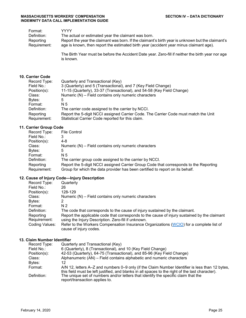| Format:      | YYYY.                                                                                             |
|--------------|---------------------------------------------------------------------------------------------------|
| Definition:  | The actual or estimated year the claimant was born.                                               |
| Reporting    | Report the year the claimant was born. If the claimant's birth year is unknown but the claimant's |
| Requirement: | age is known, then report the estimated birth year (accident year minus claimant age).            |

The Birth Year must be before the Accident Date year. Zero-fill if neither the birth year nor age is known.

#### **10. Carrier Code**

| Record Type:              | Quarterly and Transactional (Key)                                                                                                        |
|---------------------------|------------------------------------------------------------------------------------------------------------------------------------------|
| Field No.:                | 3 (Quarterly) and 5 (Transactional), and 7 (Key Field Change)                                                                            |
| Position(s):              | 11-15 (Quarterly), 33-37 (Transactional), and 54-58 (Key Field Change)                                                                   |
| Class:                    | Numeric (N) – Field contains only numeric characters                                                                                     |
| Bytes:                    | 5                                                                                                                                        |
| Format:                   | N 5                                                                                                                                      |
| Definition:               | The carrier code assigned to the carrier by NCCI.                                                                                        |
| Reporting<br>Requirement: | Report the 5-digit NCCI assigned Carrier Code. The Carrier Code must match the Unit<br>Statistical Carrier Code reported for this claim. |

#### **11. Carrier Group Code**

| Record Type:<br>Field No.: | <b>File Control</b>                                                                                                                                                    |
|----------------------------|------------------------------------------------------------------------------------------------------------------------------------------------------------------------|
| Position(s):               | 4-8                                                                                                                                                                    |
| Class:                     | Numeric (N) – Field contains only numeric characters                                                                                                                   |
| Bytes:                     | 5                                                                                                                                                                      |
| Format:                    | N 5                                                                                                                                                                    |
| Definition:                | The carrier group code assigned to the carrier by NCCI.                                                                                                                |
| Reporting<br>Requirement:  | Report the 5-digit NCCI assigned Carrier Group Code that corresponds to the Reporting<br>Group for which the data provider has been certified to report on its behalf. |

## **12. Cause of Injury Code—Injury Description**

| Quarterly                                                                                                                                           |
|-----------------------------------------------------------------------------------------------------------------------------------------------------|
| 26                                                                                                                                                  |
| 128-129                                                                                                                                             |
| Numeric $(N)$ – Field contains only numeric characters                                                                                              |
| 2                                                                                                                                                   |
| N <sub>2</sub>                                                                                                                                      |
| The code that corresponds to the cause of injury sustained by the claimant.                                                                         |
| Report the applicable code that corresponds to the cause of injury sustained by the claimant<br>using the Injury Description. Zero-fill if unknown. |
| Refer to the Workers Compensation Insurance Organizations (WCIO) for a complete list of<br>cause of injury codes.                                   |
|                                                                                                                                                     |

#### **13. Claim Number Identifier**

| Record Type: | Quarterly and Transactional (Key)                                                                                                                                                                   |
|--------------|-----------------------------------------------------------------------------------------------------------------------------------------------------------------------------------------------------|
| Field No.:   | 6 (Quarterly), 8 (Transactional), and 10 (Key Field Change)                                                                                                                                         |
| Position(s): | 42-53 (Quarterly), 64-75 (Transactional), and 85-96 (Key Field Change)                                                                                                                              |
| Class:       | Alphanumeric (AN) – Field contains alphabetic and numeric characters                                                                                                                                |
| Bytes:       | 12                                                                                                                                                                                                  |
| Format:      | A/N 12, letters A–Z and numbers 0–9 only (if the Claim Number Identifier is less than 12 bytes,<br>this field must be left justified, and blanks in all spaces to the right of the last character). |
| Definition:  | The unique set of numbers and/or letters that identify the specific claim that the<br>report/transaction applies to.                                                                                |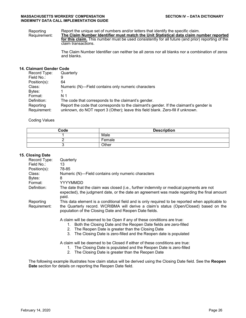Reporting Requirement: Report the unique set of numbers and/or letters that identify the specific claim. **The Claim Number Identifier must match the Unit Statistical data claim number reported for this claim.** This number must be used consistently for all future (and prior) reporting of the claim transactions.

> The Claim Number Identifier can neither be all zeros nor all blanks nor a combination of zeros and blanks.

#### **14. Claimant Gender Code**

| Record Type: | Quarterly                                                                              |
|--------------|----------------------------------------------------------------------------------------|
| Field No.:   | 9                                                                                      |
| Position(s): | 64                                                                                     |
| Class:       | Numeric (N)—Field contains only numeric characters                                     |
| Bytes:       |                                                                                        |
| Format:      | N 1                                                                                    |
| Definition:  | The code that corresponds to the claimant's gender.                                    |
| Reporting    | Report the code that corresponds to the claimant's gender. If the claimant's gender is |
| Requirement: | unknown, do NOT report 3 (Other); leave this field blank. Zero-fill if unknown.        |

#### Coding Values

| Code | <b>Description</b> |
|------|--------------------|
|      | Male               |
|      | Female             |
|      | Other              |

#### **15. Closing Date**

| Record Type: | Quarterly                                                                                                                                                                                                                                                                         |
|--------------|-----------------------------------------------------------------------------------------------------------------------------------------------------------------------------------------------------------------------------------------------------------------------------------|
| Field No.:   | 13                                                                                                                                                                                                                                                                                |
| Position(s): | 78-85                                                                                                                                                                                                                                                                             |
| Class:       | Numeric (N)—Field contains only numeric characters                                                                                                                                                                                                                                |
| Bytes:       | 8                                                                                                                                                                                                                                                                                 |
| Format:      | YYYYMMDD                                                                                                                                                                                                                                                                          |
| Definition:  | The date that the claim was closed (i.e., further indemnity or medical payments are not<br>expected), the judgment date, or the date an agreement was made regarding the final amount<br>paid.                                                                                    |
| Reporting    | This data element is a conditional field and is only required to be reported when applicable to                                                                                                                                                                                   |
| Requirement: | the Quarterly record. WCRIBMA will derive a claim's status (Open/Closed) based on the<br>population of the Closing Date and Reopen Date fields.                                                                                                                                   |
|              | A claim will be deemed to be Open if any of these conditions are true:<br>1. Both the Closing Date and the Reopen Date fields are zero-filled<br>The Reopen Date is greater than the Closing Date<br>2.<br>The Closing Date is zero-filled and the Reopen date is populated<br>3. |
|              |                                                                                                                                                                                                                                                                                   |
|              | A claim will be deemed to be Closed if either of these conditions are true:<br>The Closing Date is populated and the Reopen Date is zero-filled<br>1.                                                                                                                             |
|              | The Closing Date is greater than the Reopen Date<br>2.                                                                                                                                                                                                                            |
|              |                                                                                                                                                                                                                                                                                   |

The following example illustrates how claim status will be derived using the Closing Date field. See the **Reopen Date** section for details on reporting the Reopen Date field.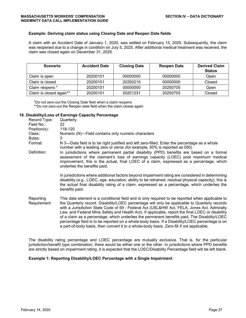#### **Example: Deriving claim status using Closing Date and Reopen Date fields**

A claim with an Accident Date of January 1, 2020, was settled on February 15, 2025. Subsequently, the claim was reopened due to a change in condition on July 5, 2025. After additional medical treatment was received, the claim was closed again on December 31, 2025.

| <b>Scenario</b>         | <b>Accident Date</b> | <b>Closing Date</b> | <b>Reopen Date</b> | <b>Derived Claim</b><br><b>Status</b> |
|-------------------------|----------------------|---------------------|--------------------|---------------------------------------|
| Claim is open           | 20200101             | 00000000            | 00000000           | Open                                  |
| Claim is closed         | 20200101             | 20250215            | 00000000           | Closed                                |
| Claim reopens *         | 20200101             | 00000000            | 20250705           | Open                                  |
| Claim is closed again** | 20200101             | 20251231            | 20250705           | Closed                                |

\*Do not zero-out the Closing Date field when a claim reopens \*\*Do not zero-out the Reopen date field when the claim closes again

#### **16. Disability/Loss of Earnings Capacity Percentage**

| Record Type:              | Quarterly                                                                                                                                                                                                                                                                                                                                                                                                                                                                                                                                                                                                                                                                                          |
|---------------------------|----------------------------------------------------------------------------------------------------------------------------------------------------------------------------------------------------------------------------------------------------------------------------------------------------------------------------------------------------------------------------------------------------------------------------------------------------------------------------------------------------------------------------------------------------------------------------------------------------------------------------------------------------------------------------------------------------|
| Field No.:                | 22                                                                                                                                                                                                                                                                                                                                                                                                                                                                                                                                                                                                                                                                                                 |
| Position(s):              | 118-120                                                                                                                                                                                                                                                                                                                                                                                                                                                                                                                                                                                                                                                                                            |
| Class:                    | Numeric (N)-Field contains only numeric characters                                                                                                                                                                                                                                                                                                                                                                                                                                                                                                                                                                                                                                                 |
| Bytes:                    | 3                                                                                                                                                                                                                                                                                                                                                                                                                                                                                                                                                                                                                                                                                                  |
| Format:                   | N 3-Data field is to be right justified and left zero-filled. Enter the percentage as a whole<br>number with a leading zero or zeros (for example, 50% is reported as 050)                                                                                                                                                                                                                                                                                                                                                                                                                                                                                                                         |
| Definition:               | In jurisdictions where permanent partial disability (PPD) benefits are based on a formal<br>assessment of the claimant's loss of earnings capacity (LOEC) post maximum medical<br>improvement, this is the actual, final LOEC of a claim, expressed as a percentage, which<br>underlies the benefits paid.                                                                                                                                                                                                                                                                                                                                                                                         |
|                           | In jurisdictions where additional factors beyond impairment rating are considered in determining<br>disability (e.g., LOEC, age, education, ability to be retrained, residual physical capacity), this is<br>the actual final disability rating of a claim, expressed as a percentage, which underlies the<br>benefits paid.                                                                                                                                                                                                                                                                                                                                                                       |
| Reporting<br>Requirement: | This data element is a conditional field and is only required to be reported when applicable to<br>the Quarterly record. Disability/LOEC percentage will only be applicable to Quarterly records<br>with a Jurisdiction State Code of 59 - Federal Act (USL&HW Act, FELA, Jones Act, Admiralty<br>Law, and Federal Mine Safety and Health Act). If applicable, report the final LOEC or disability<br>of a claim as a percentage, which underlies the permanent benefits paid. The Disability/LOEC<br>percentage field is to be reported on a whole-body basis. If a Disability/LOEC percentage is on<br>a part-of-body basis, then convert it to a whole-body basis. Zero-fill if not applicable. |

The disability rating percentage and LOEC percentage are mutually exclusive. That is, for the particular jurisdiction/benefit type combination, there would be either one or the other. In jurisdictions where PPD benefits are strictly based on impairment rating, it is expected that the LOEC/Disability Percentage field will be left blank.

#### **Example 1: Reporting Disability/LOEC Percentage with a Single Impairment**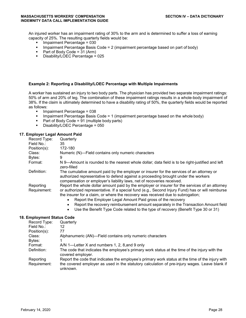An injured worker has an impairment rating of 30% to the arm and is determined to suffer a loss of earning capacity of 25%. The resulting quarterly fields would be:

- $\blacksquare$  Impairment Percentage = 030
- **Impairment Percentage Basis Code = 2 (impairment percentage based on part of body)**
- Part of Body Code =  $31$  (Arm)<br>Disability/LOEC Percentage =
- Disability/LOEC Percentage  $= 025$

#### **Example 2: Reporting a Disability/LOEC Percentage with Multiple Impairments**

A worker has sustained an injury to two body parts. The physician has provided two separate impairment ratings: 50% of arm and 20% of leg. The combination of these impairment ratings results in a whole-body impairment of 38%. If the claim is ultimately determined to have a disability rating of 50%, the quarterly fields would be reported as follows:

- Impairment Percentage = 038
- Impairment Percentage Basis Code = 1 (impairment percentage based on the whole body)
- Part of Body Code = 91 (multiple body parts)<br>Disability/LOEC Percentage = 050
- Disability/LOEC Percentage = 050

#### **17. Employer Legal Amount Paid**

| Record Type:               | Quarterly                                                                                                                                                                                                                                                |
|----------------------------|----------------------------------------------------------------------------------------------------------------------------------------------------------------------------------------------------------------------------------------------------------|
| Field No.:                 | 35                                                                                                                                                                                                                                                       |
| Position(s):               | 172-180                                                                                                                                                                                                                                                  |
| Class:                     | Numeric (N)—Field contains only numeric characters                                                                                                                                                                                                       |
| Bytes:                     | 9                                                                                                                                                                                                                                                        |
| Format:                    | N 9—Amount is rounded to the nearest whole dollar; data field is to be right-justified and left<br>zero-filled                                                                                                                                           |
| Definition:                | The cumulative amount paid by the employer or insurer for the services of an attorney or<br>authorized representative to defend against a proceeding brought under the workers<br>compensation or employer's liability laws, net of recoveries received. |
| Reporting                  | Report the whole dollar amount paid by the employer or insurer for the services of an attorney                                                                                                                                                           |
| Requirement:               | or authorized representative. If a special fund (e.g., Second Injury Fund) has or will reimburse<br>the insurer for a claim, or where the recovery was received due to subrogation;<br>Report the Employer Legal Amount Paid gross of the recovery       |
|                            | Report the recovery reimbursement amount separately in the Transaction Amount field<br>$\bullet$<br>Use the Benefit Type Code related to the type of recovery (Benefit Type 30 or 31)<br>$\bullet$                                                       |
| 18. Employment Status Code |                                                                                                                                                                                                                                                          |

| Record Type: | Quarterly                                                                                                          |
|--------------|--------------------------------------------------------------------------------------------------------------------|
| Field No.:   | 12                                                                                                                 |
| Position(s): | 77                                                                                                                 |
| Class:       | Alphanumeric (AN)-Field contains only numeric characters                                                           |
| Bytes:       |                                                                                                                    |
| Format:      | A/N 1—Letter X and numbers 1, 2, 8, and 9 only                                                                     |
| Definition:  | The code that indicates the employee's primary work status at the time of the injury with the<br>covered employer. |
| Reporting    | Report the code that indicates the employee's primary work status at the time of the injury with                   |
| Requirement: | the covered employer as used in the statutory calculation of pre-injury wages. Leave blank if<br>unknown.          |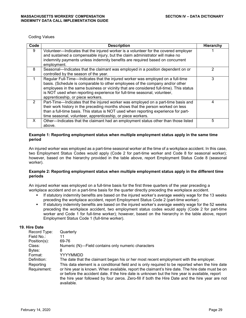Coding Values

| Code | <b>Description</b>                                                                           | Hierarchy |
|------|----------------------------------------------------------------------------------------------|-----------|
| 9    | Volunteer—Indicates that the injured worker is a volunteer for the covered employer          |           |
|      | and sustained a compensable injury, but the claim administrator will make no                 |           |
|      | indemnity payments unless indemnity benefits are required based on concurrent<br>employment. |           |
| 8    | Seasonal-Indicates that the claimant was employed in a position dependent on or              | 2         |
|      | controlled by the season of the year.                                                        |           |
|      | Regular Full-Time-Indicates that the injured worker was employed on a full-time              | 3         |
|      | basis. (Schedule is comparable to other employees of the company and/or other                |           |
|      | employees in the same business or vicinity that are considered full-time). This status       |           |
|      | is NOT used when reporting experience for full-time seasonal, volunteer,                     |           |
|      | apprenticeship, or piece workers.                                                            |           |
| 2    | Part-Time—Indicates that the injured worker was employed on a part-time basis and            | 4         |
|      | their work history in the preceding months shows that the person worked on less              |           |
|      | than a full-time basis. This status is NOT used when reporting experience for part-          |           |
|      | time seasonal, volunteer, apprenticeship, or piece workers.                                  |           |
| X.   | Other-Indicates that the claimant had an employment status other than those listed           | 5         |
|      | above.                                                                                       |           |

#### **Example 1: Reporting employment status when multiple employment status apply in the same time period**

An injured worker was employed as a part-time seasonal worker at the time of a workplace accident. In this case, two Employment Status Codes would apply (Code 2 for part-time worker and Code 8 for seasonal worker); however, based on the hierarchy provided in the table above, report Employment Status Code 8 (seasonal worker).

#### **Example 2: Reporting employment status when multiple employment status apply in the different time periods**

An injured worker was employed on a full-time basis for the first three quarters of the year preceding a workplace accident and on a part-time basis for the quarter directly preceding the workplace accident.

- If statutory indemnity benefits are based on the injured worker's average weekly wage for the 13 weeks preceding the workplace accident, report Employment Status Code 2 (part-time worker).
- If statutory indemnity benefits are based on the injured worker's average weekly wage for the 52 weeks preceding the workplace accident, two employment status codes would apply (Code 2 for part-time worker and Code 1 for full-time worker); however, based on the hierarchy in the table above, report Employment Status Code 1 (full-time worker).

#### **19. Hire Date**

| Record Type: | Quarterly                                                                                                                                                                                           |
|--------------|-----------------------------------------------------------------------------------------------------------------------------------------------------------------------------------------------------|
| Field No.:   | 11                                                                                                                                                                                                  |
| Position(s): | 69-76                                                                                                                                                                                               |
| Class:       | Numeric (N)—Field contains only numeric characters                                                                                                                                                  |
| Bytes:       | 8                                                                                                                                                                                                   |
| Format:      | YYYYMMDD                                                                                                                                                                                            |
| Definition:  | The date that the claimant began his or her most recent employment with the employer.                                                                                                               |
| Reporting    | This data element is a conditional field and is only required to be reported when the hire date                                                                                                     |
| Requirement: | or hire year is known. When available, report the claimant's hire date. The hire date must be on<br>or before the accident date. If the hire date is unknown but the hire year is available, report |
|              | the hire year followed by four zeros. Zero-fill if both the Hire Date and the hire year are not<br>available.                                                                                       |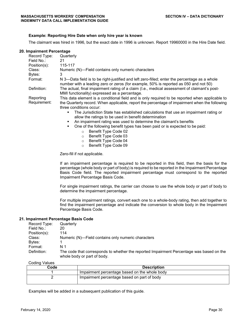#### **Example: Reporting Hire Date when only hire year is known**

The claimant was hired in 1996, but the exact date in 1996 is unknown. Report 19960000 in the Hire Date field.

#### **20. Impairment Percentage**

| Record Type: | Quarterly                                                                                                                                                                             |
|--------------|---------------------------------------------------------------------------------------------------------------------------------------------------------------------------------------|
| Field No.:   | 21                                                                                                                                                                                    |
| Position(s): | 115-117                                                                                                                                                                               |
| Class:       | Numeric (N)—Field contains only numeric characters                                                                                                                                    |
| Bytes:       | 3                                                                                                                                                                                     |
| Format:      | N 3—Data field is to be right-justified and left zero-filled; enter the percentage as a whole<br>number with a leading zero or zeros (for example, 50% is reported as 050 and not 50) |
| Definition:  | The actual, final impairment rating of a claim (I.e., medical assessment of claimant's post-<br>MMI functionality) expressed as a percentage.                                         |
| Reporting    | This data element is a conditional field and is only required to be reported when applicable to                                                                                       |
| Requirement: | the Quarterly record. When applicable, report the percentage of impairment when the following<br>three conditions occur:                                                              |
|              | The Jurisdiction State has established calculations that use an impairment rating or<br>$\blacksquare$<br>allow the ratings to be used in benefit determination                       |

- An impairment rating was used to determine the claimant's benefits
- One of the following benefit types has been paid or is expected to be paid:
	- o Benefit Type Code 02
	- o Benefit Type Code 03
	- o Benefit Type Code 04
	- o Benefit Type Code 09

Zero-fill if not applicable.

If an impairment percentage is required to be reported in this field, then the basis for the percentage (whole body or part of body) is required to be reported in the Impairment Percentage Basis Code field. The reported impairment percentage must correspond to the reported Impairment Percentage Basis Code.

For single impairment ratings, the carrier can choose to use the whole body or part of body to determine the impairment percentage.

For multiple impairment ratings, convert each one to a whole-body rating, then add together to find the impairment percentage and indicate the conversion to whole body in the Impairment Percentage Basis Code.

#### **21. Impairment Percentage Basis Code**

| Record Type: | Quarterly                                                                                                               |
|--------------|-------------------------------------------------------------------------------------------------------------------------|
| Field No.:   | 20                                                                                                                      |
| Position(s): | 114                                                                                                                     |
| Class:       | Numeric (N)—Field contains only numeric characters                                                                      |
| Bytes:       |                                                                                                                         |
| Format:      | N 1                                                                                                                     |
| Definition:  | The code that corresponds to whether the reported Impairment Percentage was based on the<br>whole body or part of body. |

Coding Values

| <b>OVAILIM</b><br>vuluvu |                                               |
|--------------------------|-----------------------------------------------|
| Code                     | <b>Description</b>                            |
|                          | Impairment percentage based on the whole body |
|                          | Impairment percentage based on part of body   |

Examples will be added in a subsequent publication of this guide.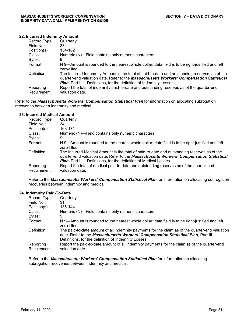#### **22. Incurred Indemnity Amount**

| Record Type:              | Quarterly                                                                                                                                                                                                                                                                  |
|---------------------------|----------------------------------------------------------------------------------------------------------------------------------------------------------------------------------------------------------------------------------------------------------------------------|
| Field No.:                | 33                                                                                                                                                                                                                                                                         |
| $Position(s)$ :           | 154-162                                                                                                                                                                                                                                                                    |
| Class:                    | Numeric (N)—Field contains only numeric characters                                                                                                                                                                                                                         |
| Bytes:                    | 9                                                                                                                                                                                                                                                                          |
| Format:                   | N 9—Amount is rounded to the nearest whole dollar; data field is to be right-justified and left<br>zero-filled                                                                                                                                                             |
| Definition:               | The Incurred Indemnity Amount is the total of paid-to-date and outstanding reserves, as of the<br>quarter-end valuation date. Refer to the Massachusetts Workers' Compensation Statistical<br><b>Plan, Part III - Definitions, for the definition of Indemnity Losses.</b> |
| Reporting<br>Requirement: | Report the total of indemnity paid-to-date and outstanding reserves as of the quarter-end<br>valuation date.                                                                                                                                                               |

Refer to the *Massachusetts Workers' Compensation Statistical Plan* for information on allocating subrogation recoveries between indemnity and medical.

#### **23. Incurred Medical Amount**

| Record Type:              | Quarterly                                                                                                                                                                                                                                                             |
|---------------------------|-----------------------------------------------------------------------------------------------------------------------------------------------------------------------------------------------------------------------------------------------------------------------|
| Field No.:                | 34                                                                                                                                                                                                                                                                    |
| $Position(s)$ :           | 163-171                                                                                                                                                                                                                                                               |
| Class:                    | Numeric (N)—Field contains only numeric characters                                                                                                                                                                                                                    |
| Bytes:                    | 9                                                                                                                                                                                                                                                                     |
| Format:                   | N 9—Amount is rounded to the nearest whole dollar; data field is to be right-justified and left<br>zero-filled                                                                                                                                                        |
| Definition:               | The Incurred Medical Amount is the total of paid-to-date and outstanding reserves as of the<br>quarter-end valuation date. Refer to the Massachusetts Workers' Compensation Statistical<br><b>Plan, Part III – Definitions, for the definition of Medical Losses.</b> |
| Reporting<br>Requirement: | Report the total of medical paid-to-date and outstanding reserves as of the quarter-end<br>valuation date.                                                                                                                                                            |

Refer to the *Massachusetts Workers' Compensation Statistical Plan* for information on allocating subrogation recoveries between indemnity and medical.

#### **24. Indemnity Paid-To-Date**

| Record Type:              | Quarterly                                                                                                                                                                                                                                      |
|---------------------------|------------------------------------------------------------------------------------------------------------------------------------------------------------------------------------------------------------------------------------------------|
| Field No.:                | 31                                                                                                                                                                                                                                             |
| $Position(s)$ :           | 136-144                                                                                                                                                                                                                                        |
| Class:                    | Numeric (N)-Field contains only numeric characters                                                                                                                                                                                             |
| Bytes:                    | 9                                                                                                                                                                                                                                              |
| Format:                   | N 9—Amount is rounded to the nearest whole dollar; data field is to be right-justified and left<br>zero-filled                                                                                                                                 |
| Definition:               | The paid-to-date amount of all indemnity payments for the claim as of the quarter-end valuation<br>date. Refer to the Massachusetts Workers' Compensation Statistical Plan, Part III -<br>Definitions, for the definition of Indemnity Losses. |
| Reporting<br>Requirement: | Report the paid-to-date amount of all indemnity payments for the claim as of the quarter-end<br>valuation date.                                                                                                                                |

Refer to the *Massachusetts Workers' Compensation Statistical Plan* for information on allocating subrogation recoveries between indemnity and medical.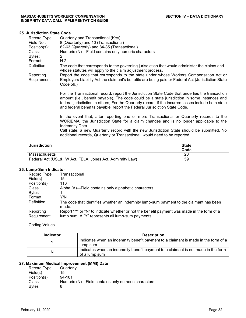#### **25. Jurisdiction State Code**

| Record Type:              | Quarterly and Transactional (Key)                                                                                                                                                                                                                                                                                                                                                   |
|---------------------------|-------------------------------------------------------------------------------------------------------------------------------------------------------------------------------------------------------------------------------------------------------------------------------------------------------------------------------------------------------------------------------------|
| Field No.:                | 8 (Quarterly) and 10 (Transactional)                                                                                                                                                                                                                                                                                                                                                |
| Position(s):              | 62-63 (Quarterly) and 84-85 (Transactional)                                                                                                                                                                                                                                                                                                                                         |
| Class:                    | Numeric (N) - Field contains only numeric characters                                                                                                                                                                                                                                                                                                                                |
| Bytes:                    | 2                                                                                                                                                                                                                                                                                                                                                                                   |
| Format:                   | N <sub>2</sub>                                                                                                                                                                                                                                                                                                                                                                      |
| Definition:               | The code that corresponds to the governing jurisdiction that would administer the claims and<br>whose statutes will apply to the claim adjustment process.                                                                                                                                                                                                                          |
| Reporting<br>Requirement: | Report the code that corresponds to the state under whose Workers Compensation Act or<br>Employers Liability Act the claimant's benefits are being paid or Federal Act (Jurisdiction State<br>Code 59.)                                                                                                                                                                             |
|                           | For the Transactional record, report the Jurisdiction State Code that underlies the transaction<br>amount (i.e., benefit payable). The code could be a state jurisdiction in some instances and<br>federal jurisdiction in others, For the Quarterly record, if the incurred losses include both state<br>and federal benefits payable, report the Federal Jurisdiction State Code. |
|                           |                                                                                                                                                                                                                                                                                                                                                                                     |

In the event that, after reporting one or more Transactional or Quarterly records to the WCRIBMA, the Jurisdiction State for a claim changes and is no longer applicable to the Indemnity Data

Call state, a new Quarterly record with the new Jurisdiction State should be submitted. No additional records, Quarterly or Transactional, would need to be reported.

| <b>Jurisdiction</b>                                      | <b>State</b><br>Code |
|----------------------------------------------------------|----------------------|
| Massachusetts                                            | 20                   |
| Federal Act (USL&HW Act, FELA, Jones Act, Admiralty Law) | 59                   |

#### **26. Lump-Sum Indicator**

| Record Type               | Transactional                                                                                                                                   |
|---------------------------|-------------------------------------------------------------------------------------------------------------------------------------------------|
| Field(s)                  | 15                                                                                                                                              |
| Position(s)               | 116                                                                                                                                             |
| Class                     | Alpha (A)—Field contains only alphabetic characters                                                                                             |
| <b>Bytes</b>              |                                                                                                                                                 |
| Format                    | Y/N                                                                                                                                             |
| Definition                | The code that identifies whether an indemnity lump-sum payment to the claimant has been<br>made.                                                |
| Reporting<br>Requirement: | Report "Y" or "N" to indicate whether or not the benefit payment was made in the form of a<br>lump sum. A "Y" represents all lump-sum payments. |

Coding Values

| <b>Indicator</b> | <b>Description</b>                                                                 |
|------------------|------------------------------------------------------------------------------------|
|                  | Indicates when an indemnity benefit payment to a claimant is made in the form of a |
|                  | lump sum                                                                           |
| N                | Indicates when an indemnity benefit payment to a claimant is not made in the form  |
|                  | of a lump sum                                                                      |

## **27. Maximum Medical Improvement (MMI) Date**

| Record Type   | Quarterly                                          |
|---------------|----------------------------------------------------|
| Field(s)      | 15                                                 |
| Position(s)   | $94 - 101$                                         |
| <b>Class</b>  | Numeric (N)—Field contains only numeric characters |
| <b>B</b> ytes | 8                                                  |
|               |                                                    |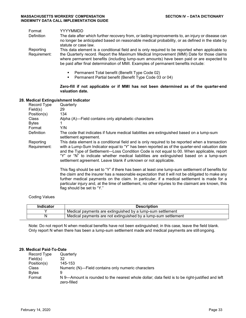| Format<br>Definition      | YYYYMMDD<br>The date after which further recovery from, or lasting improvements to, an injury or disease can<br>no longer be anticipated based on reasonable medical probability, or as defined in the state by<br>statute or case law.                                                                                                                                     |  |
|---------------------------|-----------------------------------------------------------------------------------------------------------------------------------------------------------------------------------------------------------------------------------------------------------------------------------------------------------------------------------------------------------------------------|--|
| Reporting<br>Requirement: | This data element is a conditional field and is only required to be reported when applicable to<br>the Quarterly record. Report the Maximum Medical Improvement (MMI) Date for those claims<br>where permanent benefits (including lump-sum amounts) have been paid or are expected to<br>be paid after final determination of MMI. Examples of permanent benefits include: |  |
|                           | Permanent Total benefit (Benefit Type Code 02)<br>٠<br>Permanent Partial benefit (Benefit Type Code 03 or 04)<br>٠                                                                                                                                                                                                                                                          |  |
|                           | Zero-fill if not applicable or if MMI has not been determined as of the quarter-end<br>valuation date.                                                                                                                                                                                                                                                                      |  |
|                           | Medical Extinguishment Indicator                                                                                                                                                                                                                                                                                                                                            |  |

#### **28. Medical Extinguishment Indicator**

| Record Type  | Quarterly                                                                                                                                                                                                                                                                                                                                                                                                                                 |
|--------------|-------------------------------------------------------------------------------------------------------------------------------------------------------------------------------------------------------------------------------------------------------------------------------------------------------------------------------------------------------------------------------------------------------------------------------------------|
| Field(s)     | 29                                                                                                                                                                                                                                                                                                                                                                                                                                        |
| Position(s)  | 134                                                                                                                                                                                                                                                                                                                                                                                                                                       |
| <b>Class</b> | Alpha (A)—Field contains only alphabetic characters                                                                                                                                                                                                                                                                                                                                                                                       |
| <b>Bytes</b> | 1                                                                                                                                                                                                                                                                                                                                                                                                                                         |
| Format       | Y/N                                                                                                                                                                                                                                                                                                                                                                                                                                       |
| Definition   | The code that indicates if future medical liabilities are extinguished based on a lump-sum<br>settlement agreement.                                                                                                                                                                                                                                                                                                                       |
| Reporting    | This data element is a conditional field and is only required to be reported when a transaction                                                                                                                                                                                                                                                                                                                                           |
| Requirement: | with a Lump-Sum Indicator equal to "Y" has been reported as of the quarter-end valuation date<br>and the Type of Settlement—Loss Condition Code is not equal to 00. When applicable, report<br>"Y" or "N" to indicate whether medical liabilities are extinguished based on a lump-sum<br>settlement agreement. Leave blank if unknown or not applicable.                                                                                 |
|              | This flag should be set to "Y" if there has been at least one lump-sum settlement of benefits for<br>the claim and the insurer has a reasonable expectation that it will not be obligated to make any<br>further medical payments on the claim. In particular, if a medical settlement is made for a<br>particular injury and, at the time of settlement, no other injuries to the claimant are known, this<br>flag should be set to "Y." |
|              |                                                                                                                                                                                                                                                                                                                                                                                                                                           |

#### Coding Values

| <b>Indicator</b> | Description                                                    |
|------------------|----------------------------------------------------------------|
|                  | Medical payments are extinguished by a lump-sum settlement     |
|                  | Medical payments are not extinguished by a lump-sum settlement |

Note: Do not report N when medical benefits have not been extinguished; in this case, leave the field blank. Only report N when there has been a lump-sum settlement made and medical payments are still ongoing.

#### **29. Medical Paid-To-Date**

| Record Type  | Quarterly                                                                                                      |
|--------------|----------------------------------------------------------------------------------------------------------------|
| Field(s)     | 32                                                                                                             |
| Position(s)  | 145-153                                                                                                        |
| Class        | Numeric (N)—Field contains only numeric characters                                                             |
| <b>Bytes</b> | 9                                                                                                              |
| Format       | N 9—Amount is rounded to the nearest whole dollar; data field is to be right-justified and left<br>zero-filled |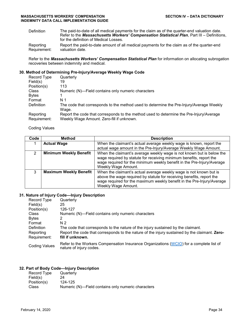Definition The paid-to-date of all medical payments for the claim as of the quarter-end valuation date. Refer to the *Massachusetts Workers' Compensation Statistical Plan*, Part III – Definitions, for the definition of Medical Losses. Reporting Report the paid-to-date amount of all medical payments for the claim as of the quarter-end

Requirement: valuation date.

Refer to the *Massachusetts Workers' Compensation Statistical Plan* for information on allocating subrogation recoveries between indemnity and medical.

#### **30. Method of Determining Pre-Injury/Average Weekly Wage Code**

| Record Type  | Quarterly                                                                               |
|--------------|-----------------------------------------------------------------------------------------|
| Field(s)     | 19                                                                                      |
| Position(s)  | 113                                                                                     |
| Class        | Numeric (N)-Field contains only numeric characters                                      |
| <b>Bytes</b> |                                                                                         |
| Format       | N 1                                                                                     |
| Definition   | The code that corresponds to the method used to determine the Pre-Injury/Average Weekly |
|              | Wage.                                                                                   |
| Reporting    | Report the code that corresponds to the method used to determine the Pre-Injury/Average |
| Requirement: | Weekly Wage Amount. Zero-fill if unknown.                                               |

Coding Values

| Code          | Method                        | <b>Description</b>                                                                                                                                                                                                                            |
|---------------|-------------------------------|-----------------------------------------------------------------------------------------------------------------------------------------------------------------------------------------------------------------------------------------------|
|               | <b>Actual Wage</b>            | When the claimant's actual average weekly wage is known, report the<br>actual wage amount in the Pre-Injury/Average Weekly Wage Amount.                                                                                                       |
| $\mathcal{P}$ | <b>Minimum Weekly Benefit</b> | When the claimant's average weekly wage is not known but is below the<br>wage required by statute for receiving minimum benefits, report the<br>wage required for the minimum weekly benefit in the Pre-Injury/Average<br>Weekly Wage Amount. |
| 3             | <b>Maximum Weekly Benefit</b> | When the claimant's actual average weekly wage is not known but is<br>above the wage required by statute for receiving benefits, report the<br>wage required for the maximum weekly benefit in the Pre-Injury/Average<br>Weekly Wage Amount.  |

#### **31. Nature of Injury Code—Injury Description**

| Record Type          | Quarterly                                                                                                          |  |  |
|----------------------|--------------------------------------------------------------------------------------------------------------------|--|--|
| Field(s)             | 25                                                                                                                 |  |  |
| Position(s)          | 126-127                                                                                                            |  |  |
| Class                | Numeric (N)—Field contains only numeric characters                                                                 |  |  |
| <b>Bytes</b>         | 2                                                                                                                  |  |  |
| Format               | N <sub>2</sub>                                                                                                     |  |  |
| Definition           | The code that corresponds to the nature of the injury sustained by the claimant.                                   |  |  |
| Reporting            | Report the code that corresponds to the nature of the injury sustained by the claimant. Zero-                      |  |  |
| Requirement:         | fill if unknown.                                                                                                   |  |  |
| <b>Coding Values</b> | Refer to the Workers Compensation Insurance Organizations (WCIO) for a complete list of<br>nature of injury codes. |  |  |

## **32. Part of Body Code—Injury Description**

| Quarterly                                          |
|----------------------------------------------------|
| 24                                                 |
| 124-125                                            |
| Numeric (N)—Field contains only numeric characters |
|                                                    |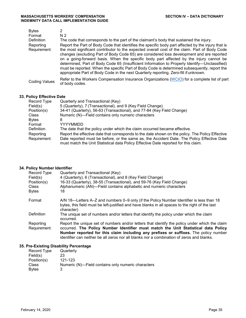| <b>Bytes</b><br>Format<br><b>Definition</b><br>Reporting<br>Requirement: | 2<br>N <sub>2</sub><br>The code that corresponds to the part of the claimant's body that sustained the injury.<br>Report the Part of Body Code that identifies the specific body part affected by the injury that is<br>the most significant contributor to the expected overall cost of the claim. Part of Body Code<br>changes (excluding Part of Body Code 65) are considered loss development and are reported<br>on a going-forward basis. When the specific body part affected by the injury cannot be<br>determined, Part of Body Code 65 (Insufficient Information to Properly Identify-Unclassified)<br>must be reported. When the specific Part of Body Code is determined subsequently, report the |
|--------------------------------------------------------------------------|---------------------------------------------------------------------------------------------------------------------------------------------------------------------------------------------------------------------------------------------------------------------------------------------------------------------------------------------------------------------------------------------------------------------------------------------------------------------------------------------------------------------------------------------------------------------------------------------------------------------------------------------------------------------------------------------------------------|
|                                                                          | appropriate Part of Body Code in the next Quarterly reporting. Zero-fill if unknown.                                                                                                                                                                                                                                                                                                                                                                                                                                                                                                                                                                                                                          |
| <b>Coding Values</b>                                                     | Refer to the Workers Compensation Insurance Organizations (WCIO) for a complete list of part<br>of body codes.                                                                                                                                                                                                                                                                                                                                                                                                                                                                                                                                                                                                |

#### **33. Policy Effective Date**

| Record Type  | Quarterly and Transactional (Key)                                                                |
|--------------|--------------------------------------------------------------------------------------------------|
| Field(s)     | 5 (Quarterly), 7 (Transactional), and 9 (Key Field Change)                                       |
| Position(s)  | 34-41 (Quarterly), 56-63 (Transactional), and 77-84 (Key Field Change)                           |
| Class        | Numeric (N)—Field contains only numeric characters                                               |
| <b>Bytes</b> | 8                                                                                                |
| Format       | YYYYMMDD                                                                                         |
| Definition   | The date that the policy under which the claim occurred became effective.                        |
| Reporting    | Report the effective date that corresponds to the date shown on the policy. The Policy Effective |
| Requirement: | Date reported must be before, or the same as, the Accident Date. The Policy Effective Date       |
|              | must match the Unit Statistical data Policy Effective Date reported for this claim.              |

#### **34. Policy Number Identifier**

| Record Type  | Quarterly and Transactional (Key)                                                                                                                                                                         |
|--------------|-----------------------------------------------------------------------------------------------------------------------------------------------------------------------------------------------------------|
| Field(s)     | 4 (Quarterly), 6 (Transactional), and 8 (Key Field Change)                                                                                                                                                |
| Position(s)  | 16-33 (Quarterly), 38-55 (Transactional), and 59-76 (Key Field Change)                                                                                                                                    |
| <b>Class</b> | Alphanumeric (AN)—Field contains alphabetic and numeric characters                                                                                                                                        |
| <b>Bytes</b> | 18                                                                                                                                                                                                        |
| Format       | A/N 18—Letters A–Z and numbers 0–9 only (if the Policy Number Identifier is less than 18<br>bytes, this field must be left-justified and have blanks in all spaces to the right of the last<br>character) |
| Definition   | The unique set of numbers and/or letters that identify the policy under which the claim<br>occurred.                                                                                                      |
| Reporting    | Report the unique set of numbers and/or letters that identify the policy under which the claim                                                                                                            |
| Requirement: | occurred. The Policy Number Identifier must match the Unit Statistical data Policy                                                                                                                        |
|              | Number reported for this claim including any prefixes or suffixes. The policy number<br>identifier can neither be all zeros nor all blanks nor a combination of zeros and blanks.                         |

#### **35. Pre-Existing Disability Percentage**

| Record Type  | Quarterly                                          |
|--------------|----------------------------------------------------|
| Field(s)     | 23                                                 |
| Position(s)  | 121-123                                            |
| <b>Class</b> | Numeric (N)—Field contains only numeric characters |
| Bvtes        | 3                                                  |
|              |                                                    |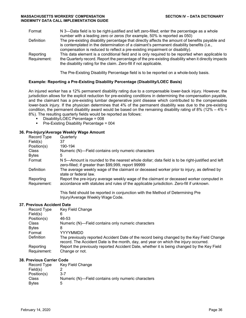| Format                    | N 3—Data field is to be right-justified and left zero-filled; enter the percentage as a whole<br>number with a leading zero or zeros (for example, 50% is reported as 050)                                                                                                   |
|---------------------------|------------------------------------------------------------------------------------------------------------------------------------------------------------------------------------------------------------------------------------------------------------------------------|
| Definition                | The pre-existing disability percentage that directly affects the amount of benefits payable and<br>is contemplated in the determination of a claimant's permanent disability benefits (i.e.,<br>compensation is reduced to reflect a pre-existing impairment or disability). |
| Reporting<br>Requirement: | This data element is a conditional field and is only required to be reported when applicable to<br>the Quarterly record. Report the percentage of the pre-existing disability when it directly impacts<br>the disability rating for the claim. Zero-fill if not applicable.  |

The Pre-Existing Disability Percentage field is to be reported on a whole-body basis.

#### **Example: Reporting a Pre-Existing Disability Percentage (Disability/LOEC Basis)**

An injured worker has a 12% permanent disability rating due to a compensable lower-back injury. However, the jurisdiction allows for the explicit reduction for pre-existing conditions in determining the compensation payable, and the claimant has a pre-existing lumbar degenerative joint disease which contributed to the compensable lower-back injury. If the physician determines that 4% of the permanent disability was due to the pre-existing condition, the permanent disability award would be based on the remaining disability rating of 8% (12% – 4% = 8%). The resulting quarterly fields would be reported as follows:

- Disability/LOEC Percentage = 008
- **Pre-Existing Disability Percentage = 004**

### **36. Pre-Injury/Average Weekly Wage Amount**

|                           | $19$ mpm yn worago woonty wago runoam.                                                                                                                                               |
|---------------------------|--------------------------------------------------------------------------------------------------------------------------------------------------------------------------------------|
| Record Type               | Quarterly                                                                                                                                                                            |
| Field(s)                  | 37                                                                                                                                                                                   |
| Position(s)               | 190-194                                                                                                                                                                              |
| Class                     | Numeric (N)—Field contains only numeric characters                                                                                                                                   |
| <b>Bytes</b>              | 5                                                                                                                                                                                    |
| Format                    | N 5—Amount is rounded to the nearest whole dollar; data field is to be right-justified and left<br>zero-filled; if greater than \$99,999, report 99999                               |
| Definition                | The average weekly wage of the claimant or deceased worker prior to injury, as defined by<br>state or federal law.                                                                   |
| Reporting<br>Requirement: | Report the pre-injury average weekly wage of the claimant or deceased worker computed in<br>accordance with statutes and rules of the applicable jurisdiction. Zero-fill if unknown. |
|                           | This field should be reported in conjunction with the Method of Determining Pre<br>Injury/Average Weekly Wage Code.                                                                  |

#### **37. Previous Accident Date**

| Record Type  | Key Field Change                                                                                                                                                                 |
|--------------|----------------------------------------------------------------------------------------------------------------------------------------------------------------------------------|
| Field(s)     | 6                                                                                                                                                                                |
| Position(s)  | 46-53                                                                                                                                                                            |
| <b>Class</b> | Numeric (N)-Field contains only numeric characters                                                                                                                               |
| <b>Bytes</b> | 8                                                                                                                                                                                |
| Format       | YYYYMMDD                                                                                                                                                                         |
| Definition   | The previously reported Accident Date of the record being changed by the Key Field Change<br>record. The Accident Date is the month, day, and year on which the injury occurred. |
| Reporting    | Report the previously reported Accident Date, whether it is being changed by the Key Field                                                                                       |
| Requirement: | Change or not.                                                                                                                                                                   |

#### **38. Previous Carrier Code**

| Record Type   | Key Field Change                                   |
|---------------|----------------------------------------------------|
| Field(s)      |                                                    |
| Position(s)   | $3 - 7$                                            |
| Class         | Numeric (N)—Field contains only numeric characters |
| <b>B</b> ytes | 5                                                  |
|               |                                                    |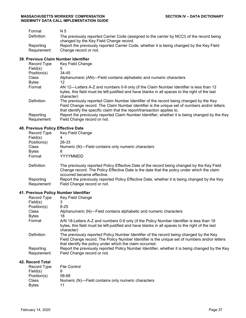| Format                    | N 5                                                                                                                                   |
|---------------------------|---------------------------------------------------------------------------------------------------------------------------------------|
| <b>Definition</b>         | The previously reported Carrier Code (assigned to the carrier by NCCI) of the record being<br>changed by the Key Field Change record. |
| Reporting<br>Requirement: | Report the previously reported Carrier Code, whether it is being changed by the Key Field<br>Change record or not.                    |

## **39. Previous Claim Number Identifier**

| Record Type               | Key Field Change                                                                                                                                                                                                                                                   |
|---------------------------|--------------------------------------------------------------------------------------------------------------------------------------------------------------------------------------------------------------------------------------------------------------------|
| Field(s)                  | 5                                                                                                                                                                                                                                                                  |
| Position(s)               | 34-45                                                                                                                                                                                                                                                              |
| <b>Class</b>              | Alphanumeric (AN)-Field contains alphabetic and numeric characters                                                                                                                                                                                                 |
| <b>Bytes</b>              | 12                                                                                                                                                                                                                                                                 |
| Format                    | AN 12—Letters A-Z and numbers 0-9 only (if the Claim Number Identifier is less than 12                                                                                                                                                                             |
|                           | bytes, this field must be left-justified and have blanks in all spaces to the right of the last<br>character)                                                                                                                                                      |
| Definition                | The previously reported Claim Number Identifier of the record being changed by the Key<br>Field Change record. The Claim Number identifier is the unique set of numbers and/or letters<br>that identify the specific claim that the report/transaction applies to. |
| Reporting<br>Requirement: | Report the previously reported Claim Number Identifier, whether it is being changed by the Key<br>Field Change record or not.                                                                                                                                      |

## **40. Previous Policy Effective Date**

| Record Type<br>Field(s) | Key Field Change<br>4                                                                                                                                                                                                  |
|-------------------------|------------------------------------------------------------------------------------------------------------------------------------------------------------------------------------------------------------------------|
| Position(s)             | 26-33                                                                                                                                                                                                                  |
| <b>Class</b>            | Numeric (N)—Field contains only numeric characters                                                                                                                                                                     |
| <b>Bytes</b>            | 8                                                                                                                                                                                                                      |
| Format                  | YYYYMMDD                                                                                                                                                                                                               |
| Definition              | The previously reported Policy Effective Date of the record being changed by the Key Field<br>Change record. The Policy Effective Date is the date that the policy under which the claim<br>occurred became effective. |
| Reporting               | Report the previously reported Policy Effective Date, whether it is being changed by the Key                                                                                                                           |
| Requirement:            | Field Change record or not.                                                                                                                                                                                            |

## **41. Previous Policy Number Identifier**

| Record Type<br>Field(s)   | Key Field Change                                                                                                                                                                           |
|---------------------------|--------------------------------------------------------------------------------------------------------------------------------------------------------------------------------------------|
| Position(s)               | $8 - 25$                                                                                                                                                                                   |
| Class                     | Alphanumeric (N)—Field contains alphabetic and numeric characters                                                                                                                          |
| <b>Bytes</b>              | 18                                                                                                                                                                                         |
| Format                    | A/N 18-Letters A-Z and numbers 0-9 only (if the Policy Number Identifier is less than 18                                                                                                   |
|                           | bytes, this field must be left-justified and have blanks in all spaces to the right of the last<br>character)                                                                              |
| Definition                | The previously reported Policy Number Identifier of the record being changed by the Key<br>Field Change record. The Policy Number Identifier is the unique set of numbers and/or letters   |
| Reporting<br>Requirement: | that identify the policy under which the claim occurred.<br>Report the previously reported Policy Number Identifier, whether it is being changed by the Key<br>Field Change record or not. |

## **42. Record Total**

|               | Record Type | <b>File Control</b>                                |
|---------------|-------------|----------------------------------------------------|
| Field(s)      |             |                                                    |
| Position(s)   |             | 58-68                                              |
| Class         |             | Numeric (N)-Field contains only numeric characters |
| <b>B</b> vtes |             | 11                                                 |
|               |             |                                                    |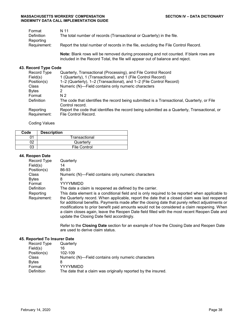| Format                    | N 11                                                                               |
|---------------------------|------------------------------------------------------------------------------------|
| Definition                | The total number of records (Transactional or Quarterly) in the file.              |
| Reporting<br>Requirement: | Report the total number of records in the file, excluding the File Control Record. |

**Note:** Blank rows will be removed during processing and not counted. If blank rows are included in the Record Total, the file will appear out of balance and reject.

#### **43. Record Type Code**

| Record Type               | Quarterly, Transactional (Processing), and File Control Record                                                       |
|---------------------------|----------------------------------------------------------------------------------------------------------------------|
| Field(s)                  | 1 (Quarterly), 1 (Transactional), and 1 (File Control Record)                                                        |
| Position(s)               | 1-2 (Quarterly), 1-2 (Transactional), and 1-2 (File Control Record)                                                  |
| Class                     | Numeric (N)-Field contains only numeric characters                                                                   |
| <b>Bytes</b>              |                                                                                                                      |
| Format                    | N 2                                                                                                                  |
| Definition                | The code that identifies the record being submitted is a Transactional, Quarterly, or File<br>Control record.        |
| Reporting<br>Requirement: | Report the code that identifies the record being submitted as a Quarterly, Transactional, or<br>File Control Record. |

#### Coding Values

| Code | <b>Description</b> |               |
|------|--------------------|---------------|
|      |                    | Transactional |
|      |                    | Quarterly     |
| 03   |                    | File Control  |

#### **44. Reopen Date**

| Record Type       | Quarterly                                                                                                                                                                                                                                                                                                                                                                                                                                      |
|-------------------|------------------------------------------------------------------------------------------------------------------------------------------------------------------------------------------------------------------------------------------------------------------------------------------------------------------------------------------------------------------------------------------------------------------------------------------------|
| Field(s)          | 14                                                                                                                                                                                                                                                                                                                                                                                                                                             |
| Position(s)       | 86-93                                                                                                                                                                                                                                                                                                                                                                                                                                          |
| <b>Class</b>      | Numeric (N)-Field contains only numeric characters                                                                                                                                                                                                                                                                                                                                                                                             |
| <b>Bytes</b>      | 8                                                                                                                                                                                                                                                                                                                                                                                                                                              |
| Format            | YYYYMMDD                                                                                                                                                                                                                                                                                                                                                                                                                                       |
| <b>Definition</b> | The date a claim is reopened as defined by the carrier.                                                                                                                                                                                                                                                                                                                                                                                        |
| Reporting         | This data element is a conditional field and is only required to be reported when applicable to                                                                                                                                                                                                                                                                                                                                                |
| Requirement:      | the Quarterly record. When applicable, report the date that a closed claim was last reopened<br>for additional benefits. Payments made after the closing date that purely reflect adjustments or<br>modifications to prior benefit paid amounts would not be considered a claim reopening. When<br>a claim closes again, leave the Reopen Date field filled with the most recent Reopen Date and<br>update the Closing Date field accordingly. |

Refer to the **Closing Date** section for an example of how the Closing Date and Reopen Date are used to derive claim status.

### **45. Reported To Insurer Date**

| Record Type  | Quarterly                                                     |
|--------------|---------------------------------------------------------------|
| Field(s)     | 16                                                            |
| Position(s)  | 102-109                                                       |
| Class        | Numeric (N)—Field contains only numeric characters            |
| <b>Bytes</b> | 8                                                             |
| Format       | YYYYMMDD                                                      |
| Definition   | The date that a claim was originally reported by the insured. |
|              |                                                               |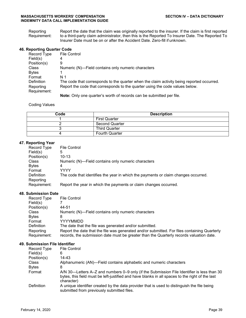Reporting Requirement: Report the date that the claim was originally reported to the insurer. If the claim is first reported to a third-party claim administrator, then this is the Reported To Insurer Date. The Reported To Insurer Date must be on or after the Accident Date. Zero-fill if unknown.

#### **46. Reporting Quarter Code**

| Record Type  | <b>File Control</b>                                                                       |
|--------------|-------------------------------------------------------------------------------------------|
| Field(s)     | 4                                                                                         |
| Position(s)  | 9                                                                                         |
| Class        | Numeric (N)—Field contains only numeric characters                                        |
| <b>Bytes</b> |                                                                                           |
| Format       | N 1                                                                                       |
| Definition   | The code that corresponds to the quarter when the claim activity being reported occurred. |
| Reporting    | Report the code that corresponds to the quarter using the code values below.              |
| Requirement: |                                                                                           |
|              | <b>Note:</b> Only one quarter's worth of records can be submitted per file.               |

#### Coding Values

| Code | <b>Description</b>    |
|------|-----------------------|
|      | <b>First Quarter</b>  |
|      | <b>Second Quarter</b> |
|      | <b>Third Quarter</b>  |
|      | <b>Fourth Quarter</b> |

#### **47. Reporting Year**

| Record Type  | <b>File Control</b>                                                                |
|--------------|------------------------------------------------------------------------------------|
| Field(s)     | 5                                                                                  |
| Position(s)  | $10 - 13$                                                                          |
| Class        | Numeric (N)—Field contains only numeric characters                                 |
| <b>Bytes</b> | 4                                                                                  |
| Format       | <b>YYYY</b>                                                                        |
| Definition   | The code that identifies the year in which the payments or claim changes occurred. |
| Reporting    |                                                                                    |
| Requirement: | Report the year in which the payments or claim changes occurred.                   |

#### **48. Submission Date**

| Record Type  | <b>File Control</b>                                                                          |
|--------------|----------------------------------------------------------------------------------------------|
| Field(s)     |                                                                                              |
| Position(s)  | 44-51                                                                                        |
| Class        | Numeric (N)—Field contains only numeric characters                                           |
| <b>Bytes</b> | 8                                                                                            |
| Format       | YYYYMMDD                                                                                     |
| Definition   | The date that the file was generated and/or submitted.                                       |
| Reporting    | Report the date that the file was generated and/or submitted. For files containing Quarterly |
| Requirement: | records, the submission date must be greater than the Quarterly records valuation date.      |

#### **49. Submission File Identifier**

| Record Type  | File Control                                                                                                                                                                                                |
|--------------|-------------------------------------------------------------------------------------------------------------------------------------------------------------------------------------------------------------|
| Field(s)     | 6                                                                                                                                                                                                           |
| Position(s)  | 14-43                                                                                                                                                                                                       |
| Class        | Alphanumeric (AN)—Field contains alphabetic and numeric characters                                                                                                                                          |
| <b>Bytes</b> | 8                                                                                                                                                                                                           |
| Format       | A/N 30—Letters A–Z and numbers 0–9 only (if the Submission File Identifier is less than 30<br>bytes, this field must be left-justified and have blanks in all spaces to the right of the last<br>character) |
| Definition   | A unique identifier created by the data provider that is used to distinguish the file being<br>submitted from previously submitted files.                                                                   |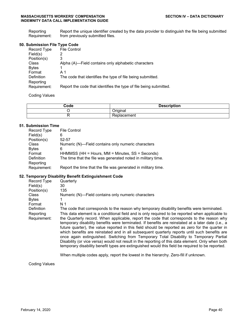**Reporting** Requirement: Report the unique identifier created by the data provider to distinguish the file being submitted from previously submitted files.

#### **50. Submission File Type Code**

| Record Type  | <b>File Control</b>                                               |
|--------------|-------------------------------------------------------------------|
| Field(s)     |                                                                   |
| Position(s)  | 3                                                                 |
| Class        | Alpha (A)-Field contains only alphabetic characters               |
| <b>Bytes</b> |                                                                   |
| Format       | A 1                                                               |
| Definition   | The code that identifies the type of file being submitted.        |
| Reporting    |                                                                   |
| Requirement: | Report the code that identifies the type of file being submitted. |
|              |                                                                   |

Coding Values

| Code<br>- - - | <b>Description</b><br>NUI.<br>ーー・ |
|---------------|-----------------------------------|
|               | Indina                            |
|               | volacemen.                        |

#### **51. Submission Time**

| <b>File Control</b>                                           |
|---------------------------------------------------------------|
| 6                                                             |
| 52-57                                                         |
| Numeric (N)—Field contains only numeric characters            |
| 6                                                             |
| HHMMSS (HH = Hours, MM = Minutes, SS = Seconds)               |
| The time that the file was generated noted in military time.  |
|                                                               |
| Report the time that the file was generated in military time. |
|                                                               |

#### **52. Temporary Disability Benefit Extinguishment Code**

| Record Type  | Quarterly                                                                                                                                                                                                                                                                                                                                                                                                                                                                                                                                                                                                                                                                                               |
|--------------|---------------------------------------------------------------------------------------------------------------------------------------------------------------------------------------------------------------------------------------------------------------------------------------------------------------------------------------------------------------------------------------------------------------------------------------------------------------------------------------------------------------------------------------------------------------------------------------------------------------------------------------------------------------------------------------------------------|
| Field(s)     | 30                                                                                                                                                                                                                                                                                                                                                                                                                                                                                                                                                                                                                                                                                                      |
| Position(s)  | 135                                                                                                                                                                                                                                                                                                                                                                                                                                                                                                                                                                                                                                                                                                     |
| <b>Class</b> | Numeric (N)-Field contains only numeric characters                                                                                                                                                                                                                                                                                                                                                                                                                                                                                                                                                                                                                                                      |
| <b>Bytes</b> |                                                                                                                                                                                                                                                                                                                                                                                                                                                                                                                                                                                                                                                                                                         |
| Format       | N <sub>1</sub>                                                                                                                                                                                                                                                                                                                                                                                                                                                                                                                                                                                                                                                                                          |
| Definition   | The code that corresponds to the reason why temporary disability benefits were terminated.                                                                                                                                                                                                                                                                                                                                                                                                                                                                                                                                                                                                              |
| Reporting    | This data element is a conditional field and is only required to be reported when applicable to                                                                                                                                                                                                                                                                                                                                                                                                                                                                                                                                                                                                         |
| Requirement: | the Quarterly record. When applicable, report the code that corresponds to the reason why<br>temporary disability benefits were terminated. If benefits are reinstated at a later date (i.e., a<br>future quarter), the value reported in this field should be reported as zero for the quarter in<br>which benefits are reinstated and in all subsequent quarterly reports until such benefits are<br>once again extinguished. Switching from Temporary Total Disability to Temporary Partial<br>Disability (or vice versa) would not result in the reporting of this data element. Only when both<br>temporary disability benefit types are extinguished would this field be required to be reported. |
|              |                                                                                                                                                                                                                                                                                                                                                                                                                                                                                                                                                                                                                                                                                                         |

When multiple codes apply, report the lowest in the hierarchy. Zero-fill if unknown.

Coding Values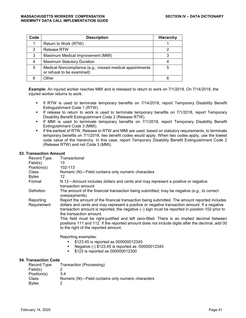| Code | <b>Description</b>                                                                     | Hierarchy |
|------|----------------------------------------------------------------------------------------|-----------|
|      | Return to Work (RTW)                                                                   |           |
| 2    | <b>Release RTW</b>                                                                     |           |
| 3    | Maximum Medical Improvement (MMI)                                                      |           |
| 4    | <b>Maximum Statutory Duration</b>                                                      |           |
| 5    | Medical Noncompliance (e.g., missed medical appointments<br>or refusal to be examined) | 5         |
| 6    | <b>Other</b>                                                                           | 6         |

**Example:** An injured worker reaches MMI and is released to return to work on 7/1/2018. On 7/14/2018, the injured worker returns to work.

- **If RTW is used to terminate temporary benefits on 7/14/2018, report Temporary Disability Benefit** Extinguishment Code 1 (RTW).
- **If release to return to work is used to terminate temporary benefits on 7/1/2018, report Temporary** Disability Benefit Extinguishment Code 2 (Release RTW).
- If MMI is used to terminate temporary benefits on 7/1/2018, report Temporary Disability Benefit Extinguishment Code 3 (MMI).
- If the earliest of RTW, Release to RTW and MMI are used, based on statutory requirements, to terminate temporary benefits on 7/1/2018, two benefit codes would apply. When two codes apply, use the lowest code value of the hierarchy. In this case, report Temporary Disability Benefit Extinguishment Code 2 (Release RTW) and not Code 3 (MMI).

#### **53. Transaction Amount**

| Record Type<br>Field(s)   | Transactional<br>13                                                                                                                                                                                                                                                                                                                                                                                                                                                                                                                                                   |
|---------------------------|-----------------------------------------------------------------------------------------------------------------------------------------------------------------------------------------------------------------------------------------------------------------------------------------------------------------------------------------------------------------------------------------------------------------------------------------------------------------------------------------------------------------------------------------------------------------------|
| Position(s)               | 102-113                                                                                                                                                                                                                                                                                                                                                                                                                                                                                                                                                               |
| <b>Class</b>              | Numeric (N)-Field contains only numeric characters                                                                                                                                                                                                                                                                                                                                                                                                                                                                                                                    |
| <b>Bytes</b>              | 12                                                                                                                                                                                                                                                                                                                                                                                                                                                                                                                                                                    |
| Format                    | N 12—Amount includes dollars and cents and may represent a positive or negative<br>transaction amount                                                                                                                                                                                                                                                                                                                                                                                                                                                                 |
| Definition                | The amount of the financial transaction being submitted; may be negative (e.g., to correct<br>overpayments).                                                                                                                                                                                                                                                                                                                                                                                                                                                          |
| Reporting<br>Requirement: | Report the amount of the financial transaction being submitted. The amount reported includes<br>dollars and cents and may represent a positive or negative transaction amount. If a negative<br>transaction amount is reported, the negative (-) sign must be reported in position 102 prior to<br>the transaction amount.<br>This field must be right-justified and left zero-filled. There is an implied decimal between<br>positions 111 and 112. If the reported amount does not include digits after the decimal, add 00<br>to the right of the reported amount. |
|                           | Reporting examples:<br>\$123.45 is reported as 000000012345<br>$\blacksquare$                                                                                                                                                                                                                                                                                                                                                                                                                                                                                         |

- Negative (-) \$123.45 is reported as -00000012345
- **\$123** is reported as 000000012300

#### **54. Transaction Code**

| Record Type  | Transaction (Processing)                           |
|--------------|----------------------------------------------------|
| Field(s)     |                                                    |
| Position(s)  | $3-4$                                              |
| <b>Class</b> | Numeric (N)—Field contains only numeric characters |
| <b>Bytes</b> |                                                    |
|              |                                                    |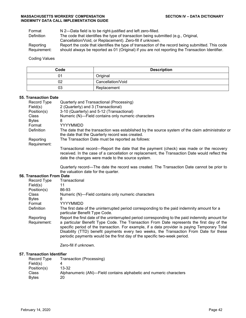Format N 2—Data field is to be right-justified and left zero-filled.<br>Definition The code that identifies the type of transaction being sub

The code that identifies the type of transaction being submitted (e.g., Original,

Cancellation/Void, or Replacement). Zero-fill if unknown.

Reporting Requirement: Report the code that identifies the type of transaction of the record being submitted. This code should always be reported as 01 (Original) if you are not reporting the Transaction Identifier.

Coding Values

| Code | <b>Description</b> |
|------|--------------------|
| 01   | Original           |
| 02   | Cancellation/Void  |
| 03   | Replacement        |

#### **55. Transaction Date**

|                            | Record Type                      | Quarterly and Transactional (Processing)                                                                                                                                                                                                     |
|----------------------------|----------------------------------|----------------------------------------------------------------------------------------------------------------------------------------------------------------------------------------------------------------------------------------------|
|                            | Field(s)                         | 2 (Quarterly) and 3 (Transactional)                                                                                                                                                                                                          |
|                            | Position(s)                      | 3-10 (Quarterly) and 5-12 (Transactional)                                                                                                                                                                                                    |
|                            | <b>Class</b>                     | Numeric (N)-Field contains only numeric characters                                                                                                                                                                                           |
|                            | <b>Bytes</b>                     | 8                                                                                                                                                                                                                                            |
|                            | Format                           | <b>YYYYMMDD</b>                                                                                                                                                                                                                              |
|                            | <b>Definition</b>                | The date that the transaction was established by the source system of the claim administrator or<br>the date that the Quarterly record was created.                                                                                          |
|                            | Reporting<br>Requirement:        | The Transaction Date must be reported as follows:                                                                                                                                                                                            |
|                            |                                  | Transactional record—Report the date that the payment (check) was made or the recovery<br>received. In the case of a cancellation or replacement, the Transaction Date would reflect the<br>date the changes were made to the source system. |
|                            |                                  | Quarterly record—The date the record was created. The Transaction Date cannot be prior to<br>the valuation date for the quarter.                                                                                                             |
|                            | <b>56. Transaction From Date</b> |                                                                                                                                                                                                                                              |
|                            | Record Type                      | Transactional                                                                                                                                                                                                                                |
|                            | Field(s)                         | 11                                                                                                                                                                                                                                           |
|                            | Position(s)                      | 86-93                                                                                                                                                                                                                                        |
|                            | Class                            | Numeric (N)-Field contains only numeric characters                                                                                                                                                                                           |
|                            | <b>Bytes</b>                     | 8                                                                                                                                                                                                                                            |
|                            | Format                           | <b>YYYYMMDD</b>                                                                                                                                                                                                                              |
|                            | Definition                       | The first date of the uninterrupted period corresponding to the paid indemnity amount for a<br>particular Benefit Type Code.                                                                                                                 |
|                            | Reporting                        | Report the first date of the uninterrupted period corresponding to the paid indemnity amount for                                                                                                                                             |
|                            | Requirement:                     | a particular Benefit Type Code. The Transaction From Date represents the first day of the<br>specific period of the transaction. For example, if a data provider is paying Temporary Total                                                   |
|                            |                                  | Disability (TTD) benefit payments every two weeks, the Transaction From Date for these                                                                                                                                                       |
|                            |                                  | periodic payments would be the first day of the specific two-week period.                                                                                                                                                                    |
|                            |                                  | Zero-fill if unknown.                                                                                                                                                                                                                        |
| 57. Transaction Identifier |                                  |                                                                                                                                                                                                                                              |

| Record Type   | Transaction (Processing)                                           |
|---------------|--------------------------------------------------------------------|
| Field(s)      |                                                                    |
| Position(s)   | $13 - 32$                                                          |
| Class         | Alphanumeric (AN)—Field contains alphabetic and numeric characters |
| <b>B</b> ytes | 20                                                                 |
|               |                                                                    |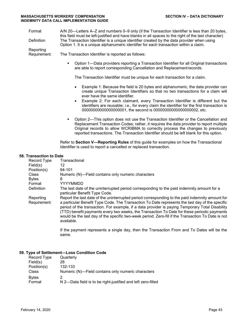| Format            | A/N 20—Letters A–Z and numbers 0–9 only (if the Transaction Identifier is less than 20 bytes,       |
|-------------------|-----------------------------------------------------------------------------------------------------|
|                   | this field must be left-justified and have blanks in all spaces to the right of the last character) |
| <b>Definition</b> | The Transaction Identifier is a unique identifier created by the data provider when using           |
|                   | Option 1. It is a unique alphanumeric identifier for each transaction within a claim.               |

Reporting

Requirement: The Transaction Identifier is reported as follows:

 Option 1—Data providers reporting a Transaction Identifier for all Original transactions are able to report corresponding Cancellation and Replacementrecords.

The Transaction Identifier must be unique for each transaction for a claim.

- Example 1: Because the field is 20 bytes and alphanumeric, the data provider can create unique Transaction Identifiers so that no two transactions for a claim will ever have the same identifier.
- Example 2: For each claimant, every Transaction Identifier is different but the identifiers are reusable; i.e., for every claim the identifier for the first transaction is 00000000000000000001, the second is 00000000000000000002, etc.
- Option 2—This option does not use the Transaction Identifier or the Cancellation and Replacement Transaction Codes; rather, it requires the data provider to report multiple Original records to allow WCRIBMA to correctly process the changes to previously reported transactions. The Transaction Identifier should be left blank for this option.

Refer to **Section V—Reporting Rules** of this guide for examples on how the Transactional Identifier is used to report a cancelled or replaced transaction.

#### **58. Transaction to Date**

| Record Type<br>Field(s) | Transactional<br>12                                                                                                                                                                                                                                                                                                                                                                                                   |
|-------------------------|-----------------------------------------------------------------------------------------------------------------------------------------------------------------------------------------------------------------------------------------------------------------------------------------------------------------------------------------------------------------------------------------------------------------------|
| Position(s)             | 94-101                                                                                                                                                                                                                                                                                                                                                                                                                |
| Class                   | Numeric (N)-Field contains only numeric characters                                                                                                                                                                                                                                                                                                                                                                    |
| <b>Bytes</b>            | 8                                                                                                                                                                                                                                                                                                                                                                                                                     |
| Format                  | YYYYMMDD                                                                                                                                                                                                                                                                                                                                                                                                              |
| Definition              | The last date of the uninterrupted period corresponding to the paid indemnity amount for a<br>particular Benefit Type Code.                                                                                                                                                                                                                                                                                           |
| Reporting               | Report the last date of the uninterrupted period corresponding to the paid indemnity amount for                                                                                                                                                                                                                                                                                                                       |
| Requirement:            | a particular Benefit Type Code. The Transaction To Date represents the last day of the specific<br>period of the transaction. For example, if a data provider is paying Temporary Total Disability<br>(TTD) benefit payments every two weeks, the Transaction To Date for these periodic payments<br>would be the last day of the specific two-week period. Zero-fill if the Transaction To Date is not<br>available. |

If the payment represents a single day, then the Transaction From and To Dates will be the same.

#### **59. Type of Settlement—Loss Condition Code**

| Record Type            | Quarterly                                                         |
|------------------------|-------------------------------------------------------------------|
| Field(s)               | 28                                                                |
| Position(s)            | 132-133                                                           |
| Class                  | Numeric (N)—Field contains only numeric characters                |
| <b>Bytes</b><br>Format | 2<br>N 2-Data field is to be right-justified and left zero-filled |
|                        |                                                                   |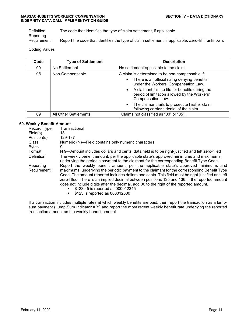Definition The code that identifies the type of claim settlement, if applicable. **Reporting** 

Requirement: Report the code that identifies the type of claim settlement, if applicable. Zero-fill if unknown.

## Coding Values

| Code | <b>Type of Settlement</b> | <b>Description</b>                                                                                                      |
|------|---------------------------|-------------------------------------------------------------------------------------------------------------------------|
| 00   | No Settlement             | No settlement applicable to the claim.                                                                                  |
| 05   | Non-Compensable           | A claim is determined to be non-compensable if:                                                                         |
|      |                           | There is an official ruling denying benefits<br>$\bullet$<br>under the Workers' Compensation Law.                       |
|      |                           | • A claimant fails to file for benefits during the<br>period of limitation allowed by the Workers'<br>Compensation Law. |
|      |                           | The claimant fails to prosecute his/her claim<br>$\bullet$<br>following carrier's denial of the claim                   |
| 09   | All Other Settlements     | Claims not classified as "00" or "05".                                                                                  |

## **60. Weekly Benefit Amount**

| Transactional                                                                                                                                                                                                                                                                                                                                                                                                                                                             |
|---------------------------------------------------------------------------------------------------------------------------------------------------------------------------------------------------------------------------------------------------------------------------------------------------------------------------------------------------------------------------------------------------------------------------------------------------------------------------|
| 18                                                                                                                                                                                                                                                                                                                                                                                                                                                                        |
| 129-137                                                                                                                                                                                                                                                                                                                                                                                                                                                                   |
| Numeric (N)-Field contains only numeric characters                                                                                                                                                                                                                                                                                                                                                                                                                        |
| 9                                                                                                                                                                                                                                                                                                                                                                                                                                                                         |
| N 9—Amount includes dollars and cents; data field is to be right-justified and left zero-filled                                                                                                                                                                                                                                                                                                                                                                           |
| The weekly benefit amount, per the applicable state's approved minimums and maximums,<br>underlying the periodic payment to the claimant for the corresponding Benefit Type Code.                                                                                                                                                                                                                                                                                         |
| Report the weekly benefit amount, per the applicable state's approved minimums and                                                                                                                                                                                                                                                                                                                                                                                        |
| maximums, underlying the periodic payment to the claimant for the corresponding Benefit Type<br>Code. The amount reported includes dollars and cents. This field must be right-justified and left<br>zero-filled. There is an implied decimal between positions 135 and 136. If the reported amount<br>does not include digits after the decimal, add 00 to the right of the reported amount.<br>\$123.45 is reported as 000012345<br>٠<br>\$123 is reported as 000012300 |
|                                                                                                                                                                                                                                                                                                                                                                                                                                                                           |

If a transaction includes multiple rates at which weekly benefits are paid, then report the transaction as a lumpsum payment (Lump Sum Indicator = Y) and report the most recent weekly benefit rate underlying the reported transaction amount as the weekly benefit amount.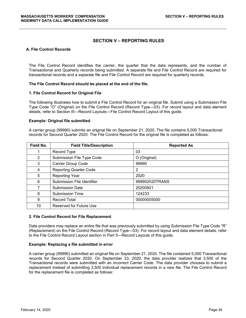## **SECTION V – REPORTING RULES**

#### **A. File Control Records**

The File Control Record identifies the carrier, the quarter that the data represents, and the number of Transactional and Quarterly records being submitted. A separate file and File Control Record are required for transactional records and a separate file and File Control Record are required for quarterly records.

#### **The File Control Record should be placed at the end of the file.**

#### **1. File Control Record for Original File**

The following illustrates how to submit a File Control Record for an original file. Submit using a Submission File Type Code "O" (Original) on the File Control Record (Record Type—03). For record layout and data element details, refer to Section III—Record Layouts—File Control Record Layout of this guide.

#### **Example: Original file submitted**

A carrier group (99990) submits an original file on September 21, 2020. The file contains 5,000 Transactional records for Second Quarter 2020. The File Control Record for the original file is completed as follows:

| Field No. | <b>Field Title/Description</b> | <b>Reported As</b> |
|-----------|--------------------------------|--------------------|
|           | Record Type                    | 03                 |
| 2         | Submission File Type Code      | O (Original)       |
| 3         | Carrier Group Code             | 99990              |
| 4         | <b>Reporting Quarter Code</b>  | 2                  |
| 5         | <b>Reporting Year</b>          | 2020               |
| 6         | Submission File Identifier     | 999902020TRANS     |
|           | <b>Submission Date</b>         | 20200921           |
| 8         | <b>Submission Time</b>         | 124233             |
| 9         | <b>Record Total</b>            | 00000005000        |
| 10        | <b>Reserved for Future Use</b> |                    |

#### **2. File Control Record for File Replacement**

Data providers may replace an entire file that was previously submitted by using Submission File Type Code "R" (Replacement) on the File Control Record (Record Type—03). For record layout and data element details, refer to the File Control Record Layout section in Part 5—Record Layouts of this guide.

#### **Example: Replacing a file submitted in error**

A carrier group (99990) submitted an original file on September 21, 2020. The file contained 5,000 Transactional records for Second Quarter 2020. On September 23, 2020, the data provider realizes that 3,500 of the Transactional records were submitted with an incorrect Carrier Code. The data provider chooses to submit a replacement instead of submitting 3,500 individual replacement records in a new file. The File Control Record for the replacement file is completed as follows: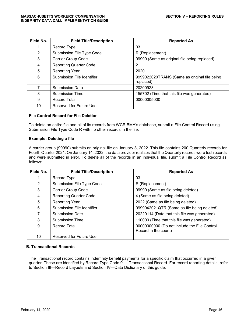| Field No.      | <b>Field Title/Description</b> | <b>Reported As</b>                                        |
|----------------|--------------------------------|-----------------------------------------------------------|
|                | Record Type                    | 03                                                        |
| $\overline{2}$ | Submission File Type Code      | R (Replacement)                                           |
| 3              | Carrier Group Code             | 99990 (Same as original file being replaced)              |
| 4              | <b>Reporting Quarter Code</b>  | 2                                                         |
| 5              | <b>Reporting Year</b>          | 2020                                                      |
| 6              | Submission File Identifier     | 9999022020TRANS (Same as original file being<br>replaced) |
| 7              | <b>Submission Date</b>         | 20200923                                                  |
| 8              | <b>Submission Time</b>         | 155702 (Time that this file was generated)                |
| 9              | <b>Record Total</b>            | 00000005000                                               |
| 10             | <b>Reserved for Future Use</b> |                                                           |

#### **File Control Record for File Deletion**

To delete an entire file and all of its records from WCRIBMA's database, submit a File Control Record using Submission File Type Code R with no other records in the file.

#### **Example: Deleting a file**

A carrier group (99990) submits an original file on January 3, 2022. This file contains 200 Quarterly records for Fourth Quarter 2021. On January 14, 2022, the data provider realizes that the Quarterly records were test records and were submitted in error. To delete all of the records in an individual file, submit a File Control Record as follows:

| Field No. | <b>Field Title/Description</b> | <b>Reported As</b>                           |
|-----------|--------------------------------|----------------------------------------------|
|           | Record Type                    | 03                                           |
| 2         | Submission File Type Code      | R (Replacement)                              |
| 3         | Carrier Group Code             | 99990 (Same as file being deleted)           |
| 4         | <b>Reporting Quarter Code</b>  | 4 (Same as file being deleted)               |
| 5         | <b>Reporting Year</b>          | 2022 (Same as file being deleted)            |
| 6         | Submission File Identifier     | 9999042021QTR (Same as file being deleted)   |
| 7         | <b>Submission Date</b>         | 20220114 (Date that this file was generated) |
| 8         | <b>Submission Time</b>         | 110000 (Time that this file was generated)   |
| 9         | Record Total                   | 00000000000 (Do not include the File Control |
|           |                                | Record in the count)                         |
| 10        | Reserved for Future Use        |                                              |

#### **B. Transactional Records**

The Transactional record contains indemnity benefit payments for a specific claim that occurred in a given quarter. These are identified by Record Type Code 01—Transactional Record. For record reporting details, refer to Section III—Record Layouts and Section IV—Data Dictionary of this guide.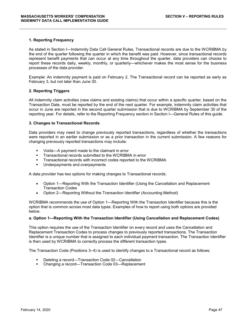#### **1. Reporting Frequency**

As stated in Section I—Indemnity Data Call General Rules, Transactional records are due to the WCRIBMA by the end of the quarter following the quarter in which the benefit was paid. However, since transactional records represent benefit payments that can occur at any time throughout the quarter, data providers can choose to report these records daily, weekly, monthly, or quarterly—whichever makes the most sense for the business processes of the data provider.

Example: An indemnity payment is paid on February 2. The Transactional record can be reported as early as February 3, but not later than June 30.

#### **2. Reporting Triggers**

All indemnity claim activities (new claims and existing claims) that occur within a specific quarter, based on the Transaction Date, must be reported by the end of the next quarter. For example, indemnity claim activities that occur in June are reported in the second quarter submission that is due to WCRIBMA by September 30 of the reporting year. For details, refer to the Reporting Frequency section in Section I—General Rules of this guide.

#### **3. Changes to Transactional Records**

Data providers may need to change previously reported transactions, regardless of whether the transactions were reported in an earlier submission or as a prior transaction in the current submission. A few reasons for changing previously reported transactions may include:

- Voids—A payment made to the claimant in error
- **Transactional records submitted to the WCRIBMA in error**
- **Transactional records with incorrect codes reported to the WCRIBMA**
- **Underpayments and overpayments**

A data provider has two options for making changes to Transactional records.

- Option 1—Reporting With the Transaction Identifier (Using the Cancellation and Replacement Transaction Codes
- Option 2—Reporting Without the Transaction Identifier (Accounting Method)

WCRIBMA recommends the use of Option 1—Reporting With the Transaction Identifier because this is the option that is common across most data types. Examples of how to report using both options are provided below.

#### **a. Option 1—Reporting With the Transaction Identifier (Using Cancellation and Replacement Codes)**

This option requires the use of the Transaction Identifier on every record and uses the Cancellation and Replacement Transaction Codes to process changes to previously reported transactions. The Transaction Identifier is a unique number that is assigned to each individual payment transaction. The Transaction Identifier is then used by WCRIBMA to correctly process the different transaction types.

The Transaction Code (Positions 3–4) is used to identify changes to a Transactional record as follows:

- Deleting a record—Transaction Code 02—Cancellation
- Changing a record—Transaction Code 03—Replacement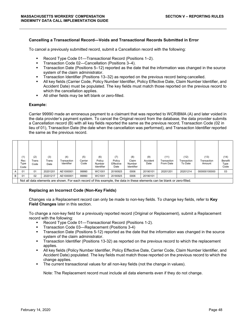#### **Cancelling a Transactional Record—Voids and Transactional Records Submitted in Error**

To cancel a previously submitted record, submit a Cancellation record with the following:

- Record Type Code 01—Transactional Record (Positions 1–2).
- Transaction Code 02—Cancellation (Positions 3–4).
- Transaction Date (Positions 5–12) reported as the date that the information was changed in the source system of the claim administrator.
- **Transaction Identifier (Positions 13–32) as reported on the previous record being cancelled.**
- All key fields (Carrier Code, Policy Number Identifier, Policy Effective Date, Claim Number Identifier, and Accident Date) must be populated. The key fields must match those reported on the previous record to which the cancellation applies.
- All other fields may be left blank or zero-filled.

#### **Example:**

Carrier 99990 made an erroneous payment to a claimant that was reported to WCRIBMA (A) and later voided in the data provider's payment system. To cancel the Original record from the database, the data provider submits a Cancellation record (B) with all key fields reported the same as the previous record, Transaction Code (02 in lieu of 01), Transaction Date (the date when the cancellation was performed), and Transaction Identifier reported the same as the previous record.

|   | (1)<br>Rec<br>Type<br>Code | (2)<br>⊺rans<br>Code | (3)<br>Trans<br>Date | (4)<br>Transaction<br>Identifier | (5)<br>Carrier<br>Code | (6)<br>Policy<br>Number<br>Identifier | (7)<br>Policy<br>Effective<br>Date | (8)<br>Claim<br>Number<br>Identifier | (9)<br>Accident<br>Date | (11)<br>Transaction<br>From Date                                                                                         | (12)<br>Transaction<br>To Date | (13)<br>Transaction<br>Amount | (14)<br>Benefit<br>Type<br>Code |
|---|----------------------------|----------------------|----------------------|----------------------------------|------------------------|---------------------------------------|------------------------------------|--------------------------------------|-------------------------|--------------------------------------------------------------------------------------------------------------------------|--------------------------------|-------------------------------|---------------------------------|
| A | 01                         | 01                   | 20201201             | AE1000001                        | 99990                  | WC1001                                | 20180925                           | 0006                                 | 20190101                | 20201201                                                                                                                 | 20201214                       | 000000100000                  | 03                              |
| B | 01                         | 02                   | 20201217             | AE1000001                        | 99990                  | WC1001                                | 20180925                           | 0006                                 | 20190101                |                                                                                                                          |                                |                               |                                 |
|   |                            |                      |                      |                                  |                        |                                       |                                    |                                      |                         | Not all data elements are shown. For each record of this example, the data in these elements can be blank or zero-filled |                                |                               |                                 |

#### Not all data elements are shown. For each record of this example, the data in these elements can be blank or zero-filled.

#### **Replacing an Incorrect Code (Non-Key Fields)**

Changes via a Replacement record can only be made to non-key fields. To change key fields, refer to **Key Field Changes** later in this section.

To change a non-key field for a previously reported record (Original or Replacement), submit a Replacement record with the following:

- Record Type Code 01—Transactional Record (Positions 1-2).
- Transaction Code 03—Replacement (Positions 3-4)
- Transaction Date (Positions 5-12) reported as the date that the information was changed in the source system of the claim administrator.
- Transaction Identifier (Positions 13-32) as reported on the previous record to which the replacement applies.
- All key fields (Policy Number Identifier, Policy Effective Date, Carrier Code, Claim Number Identifier, and Accident Date) populated. The key fields must match those reported on the previous record to which the change applies.
- The current transactional values for all non-key fields (not the change in values).

Note: The Replacement record must include all data elements even if they do not change.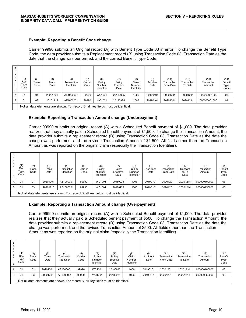#### **Example: Reporting a Benefit Code change**

Carrier 99990 submits an Original record (A) with Benefit Type Code 03 in error. To change the Benefit Type Code, the data provider submits a Replacement record (B) using Transaction Code 03, Transaction Date as the date that the change was performed, and the correct Benefit Type Code.

| S<br>с<br>е<br>n<br>a<br>o | (1)<br>Rec<br>Type<br>Code | (2)<br>Trans<br>Code | (3)<br>Trans<br>Date | (4)<br>Transaction<br>Identifier                                                 | (5)<br>Carrier<br>Code | (6)<br>Policy<br>Number<br>Identifier | (7)<br>Policy<br>Effective<br>Date | (8)<br>Claim<br>Number<br>Identifier | (9)<br>Accident<br>Date | (11)<br>Transaction<br>From Date | (12)<br>Transaction<br>To Date | (13)<br>Transaction<br>Amount | (14)<br>Benefit<br>Type<br>Code |
|----------------------------|----------------------------|----------------------|----------------------|----------------------------------------------------------------------------------|------------------------|---------------------------------------|------------------------------------|--------------------------------------|-------------------------|----------------------------------|--------------------------------|-------------------------------|---------------------------------|
| A                          | 01                         | 01                   | 20201201             | AE1000001                                                                        | 99990                  | WC1001                                | 20180925                           | 1006                                 | 20190101                | 20201201                         | 20201214                       | 000000001000                  | 03                              |
| B                          | 01                         | 03                   | 20201215             | AE1000001                                                                        | 99990                  | WC1001                                | 20180925                           | 1006                                 | 20190101                | 20201201                         | 20201214                       | 000000001000                  | 04                              |
|                            |                            |                      |                      | Not all data elements are shown. For record B, all key fields must be identical. |                        |                                       |                                    |                                      |                         |                                  |                                |                               |                                 |

Not all data elements are shown. For record B, all key fields must be identical.

#### **Example: Reporting a Transaction Amount change (Underpayment)**

Carrier 99990 submits an original record (A) with a Scheduled Benefit payment of \$1,000. The data provider realizes that they actually paid a Scheduled benefit payment of \$1,500. To change the Transaction Amount, the data provider submits a replacement record (B) using Transaction Code 03, Transaction Date as the date the change was performed, and the revised Transaction Amount of \$1,500. All fields other than the Transaction Amount as was reported on the original claim (especially the Transaction Identifier).

| S<br>C<br>e<br>n<br>a<br>$\circ$ | (1)<br>Rec<br>Type<br>Code | (2)<br>Trans<br>Code | (3)<br>Trans<br>Date                                                            | (4)<br>Transaction<br>Identifier | (5)<br>Carrier<br>Code | (6)<br>Policy<br>Number<br>Identifier | (7)<br>Policy<br>Effective<br>Date | (8)<br>Claim<br>Number<br>Identifier | (9)<br>Accident<br>Date | (11)<br>Transaction<br>From Date | (12)<br>Transacti<br>on To<br>Date | (13)<br>Transaction<br>Amount | (14)<br><b>Benefit</b><br>Type<br>Code |
|----------------------------------|----------------------------|----------------------|---------------------------------------------------------------------------------|----------------------------------|------------------------|---------------------------------------|------------------------------------|--------------------------------------|-------------------------|----------------------------------|------------------------------------|-------------------------------|----------------------------------------|
| $\mathsf{A}$                     | 01                         | 01                   | 20201201                                                                        | AE1000001                        | 99990                  | WC1001                                | 20180925                           | 1006                                 | 20190101                | 20201201                         | 20201214                           | 000000100000                  | 03                                     |
| B                                | 01                         | 03                   | 20201215                                                                        | AE1000001                        | 99990                  | WC1001                                | 20180925                           | 1006                                 | 20190101                | 20201201                         | 20201214                           | 000000150000                  | 03                                     |
|                                  |                            |                      | Not all data elements are shown. For record R, all key fields must be identical |                                  |                        |                                       |                                    |                                      |                         |                                  |                                    |                               |                                        |

all data elements are shown. For record B, all key fields must be identical.

#### **Example: Reporting a Transaction Amount change (Overpayment)**

Carrier 99990 submits an original record (A) with a Scheduled Benefit payment of \$1,000. The data provider realizes that they actually paid a Scheduled benefit payment of \$500. To change the Transaction Amount, the data provider submits a replacement record (B) using Transaction Code 03, Transaction Date as the date the change was performed, and the revised Transaction Amount of \$500. All fields other than the Transaction Amount as was reported on the original claim (especially the Transaction Identifier).

| S                             |                            |                      |                      |                                                                                  |                        |                                       |                                    |                                             |                         |                                  |                                |                               |                                 |
|-------------------------------|----------------------------|----------------------|----------------------|----------------------------------------------------------------------------------|------------------------|---------------------------------------|------------------------------------|---------------------------------------------|-------------------------|----------------------------------|--------------------------------|-------------------------------|---------------------------------|
| C<br>e<br>n I<br>a<br>$\circ$ | (1)<br>Rec<br>Type<br>Code | (2)<br>Trans<br>Code | (3)<br>Trans<br>Date | (4)<br>Transaction<br>Identifier                                                 | (5)<br>Carrier<br>Code | (6)<br>Policy<br>Number<br>Identifier | (7)<br>Policy<br>Effective<br>Date | (8)<br>Claim<br>Number<br><b>Identifier</b> | (9)<br>Accident<br>Date | (11)<br>Transaction<br>From Date | (12)<br>Transaction<br>To Date | (13)<br>Transaction<br>Amount | (14)<br>Benefit<br>Type<br>Code |
| $\mathsf{A}$                  | 01                         | 01                   | 20201201             | AE1000001                                                                        | 99990                  | WC1001                                | 20180925                           | 1006                                        | 20190101                | 20201201                         | 20201214                       | 000000100000                  | 03                              |
| B                             | 01                         | 03                   | 20201215             | AE1000001                                                                        | 99990                  | WC1001                                | 20180925                           | 1006                                        | 20190101                | 20201201                         | 20201214                       | 000000050000                  | 03                              |
|                               |                            |                      |                      | Not all data elements are shown. For record B, all key fields must be identical. |                        |                                       |                                    |                                             |                         |                                  |                                |                               |                                 |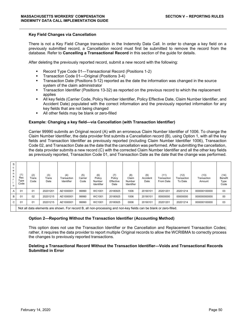#### **Key Field Changes via Cancellation**

There is not a Key Field Change transaction in the Indemnity Data Call. In order to change a key field on a previously submitted record, a Cancellation record must first be submitted to remove the record from the database. Refer to **Cancelling a Transactional Record** in this section of the guide for details.

After deleting the previously reported record, submit a new record with the following:

- Record Type Code 01—Transactional Record (Positions 1-2)
- Transaction Code 01—Original (Positions 3-4)
- Transaction Date (Positions 5-12) reported as the date the information was changed in the source system of the claim administrator
- Transaction Identifier (Positions 13-32) as reported on the previous record to which the replacement applies
- All key fields (Carrier Code, Policy Number Identifier, Policy Effective Date, Claim Number Identifier, and Accident Date) populated with the correct information and the previously reported information for any key fields that are not being changed
- All other fields may be blank or zero-filled

#### **Example: Changing a key field—via Cancellation (with Transaction Identifier)**

Carrier 99990 submits an Original record (A) with an erroneous Claim Number Identifier of 1006. To change the Claim Number Identifier, the data provider first submits a Cancellation record (B), using Option 1, with all the key fields and Transaction Identifier as previously reported (including Claim Number Identifier 1006), Transaction Code 02, and Transaction Date as the date that the cancellation was performed. After submitting the cancellation, the data provider submits a new record (C) with the corrected Claim Number Identifier and all the other key fields as previously reported, Transaction Code 01, and Transaction Date as the date that the change was performed.

| S<br>е<br>n<br>a<br>$\Omega$ | (1)<br>Rec<br>Type<br>Code | (2)<br>Trans<br>Code | (3)<br>Trans<br>Date | (4)<br>Transaction<br>Identifier                                                                                  | (5)<br>Carrier<br>Code | (6)<br>Policy<br>Number<br>Identifier | (7)<br>Policy<br>Effective<br>Date | (8)<br>Claim<br>Number<br>Identifier | (9)<br>Accident<br>Date | (11)<br>Transaction<br>From Date | (12)<br>Transaction<br>To Date | (13)<br>Transaction<br>Amount | (14)<br>Benefit<br>Type<br>Code |
|------------------------------|----------------------------|----------------------|----------------------|-------------------------------------------------------------------------------------------------------------------|------------------------|---------------------------------------|------------------------------------|--------------------------------------|-------------------------|----------------------------------|--------------------------------|-------------------------------|---------------------------------|
|                              | 01                         | 01                   | 20201201             | AE1000001                                                                                                         | 99990                  | WC1001                                | 20180925                           | 1006                                 | 20190101                | 20201201                         | 20201214                       | 000000100000                  | 03                              |
| B                            | 01                         | 02                   | 20201215             | AE1000001                                                                                                         | 99990                  | WC1001                                | 20180925                           | 1006                                 | 20190101                | 00000000                         | 00000000                       | 000000000000                  | 00                              |
| C.                           | 01                         | 01                   | 20201215             | AE1000001                                                                                                         | 99990                  | WC1001                                | 20180925                           | 0006                                 | 20190101                | 20201201                         | 20201214                       | 000000100000                  | 03                              |
|                              |                            |                      |                      | Not all data elements are shown. For record B, all non-processing and non-key fields can be blank or zero-filled. |                        |                                       |                                    |                                      |                         |                                  |                                |                               |                                 |

#### **Option 2—Reporting Without the Transaction Identifier (Accounting Method)**

This option does not use the Transaction Identifier or the Cancellation and Replacement Transaction Codes; rather, it requires the data provider to report multiple Original records to allow the WCRIBMA to correctly process the changes to previously reported transactions.

#### **Deleting a Transactional Record Without the Transaction Identifier—Voids and Transactional Records Submitted in Error**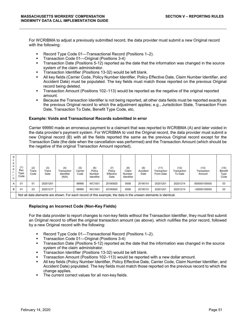For WCRIBMA to adjust a previously submitted record, the data provider must submit a new Original record with the following:

- Record Type Code 01—Transactional Record (Positions 1–2).
- Transaction Code 01—Original (Positions 3-4)
- Transaction Date (Positions 5-12) reported as the date that the information was changed in the source system of the claim administrator.
- **Transaction Identifier (Positions 13-32) would be left blank.**
- All key fields (Carrier Code, Policy Number Identifier, Policy Effective Date, Claim Number Identifier, and Accident Date) must be populated. The key fields must match those reported on the previous Original record being deleted.
- Transaction Amount (Positions 102–113) would be reported as the negative of the original reported amount.
- Because the Transaction Identifier is not being reported, all other data fields must be reported exactly as the previous Original record to which the adjustment applies; e.g., Jurisdiction State, Transaction From Date, Transaction To Date, Benefit Type Code, etc.

#### **Example: Voids and Transactional Records submitted in error**

Carrier 99990 made an erroneous payment to a claimant that was reported to WCRIBMA (A) and later voided in the data provider's payment system. For WCRIBMA to void the Original record, the data provider must submit a new Original record (B) with all the fields reported the same as the previous Original record except for the Transaction Date (the date when the cancellation was performed) and the Transaction Amount (which should be the negative of the original Transaction Amount reported).

| S<br>e<br>n<br>a<br>$\Omega$ | (1)<br>Rec<br>Type<br>Code | (2)<br>Trans<br>Code | (3)<br>Trans<br>Date | (4)<br>Transaction<br>Identifier<br>(N/A) | (5)<br>Carrier<br>Code | (6)<br>Policy<br>Number<br>Identifier | (7)<br>Policy<br>Effective<br>Date | (8)<br>Claim<br>Number<br>Identifier | (9)<br>Accident<br>Date | (11)<br>Transaction<br>From Date                                                                                | (12)<br>Transaction<br>To Date | (13)<br>Transaction<br>Amount | (14)<br>Benefit<br>Type<br>Code |
|------------------------------|----------------------------|----------------------|----------------------|-------------------------------------------|------------------------|---------------------------------------|------------------------------------|--------------------------------------|-------------------------|-----------------------------------------------------------------------------------------------------------------|--------------------------------|-------------------------------|---------------------------------|
| A                            | 01                         | 01                   | 20201201             |                                           | 99990                  | WC1001                                | 20180925                           | 0006                                 | 20190101                | 20201201                                                                                                        | 20201214                       | 000000100000                  | 03                              |
| B                            | 01                         | 03                   | 20201217             |                                           | 99990                  | WC1001                                | 20180925                           | 0006                                 | 20190101                | 20201201                                                                                                        | 20201214                       | $-00000100000$                | 03                              |
|                              |                            |                      |                      |                                           |                        |                                       |                                    |                                      |                         | Not all data elements are shown. For each record of this example, the data in the unseen elements is identical. |                                |                               |                                 |

#### **Replacing an Incorrect Code (Non-Key Fields)**

For the data provider to report changes to non-key fields without the Transaction Identifier, they must first submit an Original record to offset the original transaction amount (as above), which nullifies the prior record, followed by a new Original record with the following:

- Record Type Code 01—Transactional Record (Positions 1–2).
- Transaction Code 01—Original (Positions 3-4)
- Transaction Date (Positions 5-12) reported as the date that the information was changed in the source system of the claim administrator.
- Transaction Identifier (Positions 13-32) would be left blank.
- Transaction Amount (Positions 102–113) would be reported with a new dollar amount.
- All key fields (Policy Number Identifier, Policy Effective Date, Carrier Code, Claim Number Identifier, and Accident Date) populated. The key fields must match those reported on the previous record to which the change applies.
- **The current correct values for all non-key fields.**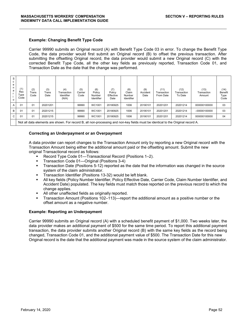#### **Example: Changing Benefit Type Code**

Carrier 99990 submits an Original record (A) with Benefit Type Code 03 in error. To change the Benefit Type Code, the data provider would first submit an Original record (B) to offset the previous transaction. After submitting the offsetting Original record, the data provider would submit a new Original record (C) with the corrected Benefit Type Code, all the other key fields as previously reported, Transaction Code 01, and Transaction Date as the date that the change was performed.

| s<br>c<br>е<br>n<br>а<br>$\Omega$ | (1)<br>Rec<br>Type<br>Code                                                                                            | (2)<br>Trans<br>Code | (3)<br>Trans<br>Date | (4)<br>Transaction<br>Identifier<br>(N/A) | (5)<br>Carrier<br>Code | (6)<br>Policy<br>Number<br>Identifier | (7)<br>Policy<br>Effective<br>Date | (8)<br>Claim<br>Number<br>Identifier | (9)<br>Accident<br>Date | (11)<br>Transaction<br>From Date | (12)<br>Transaction<br>To Date                                                                                                   | (13)<br>Transaction<br>Amount | (14)<br>Benefit<br>Type<br>Code |  |
|-----------------------------------|-----------------------------------------------------------------------------------------------------------------------|----------------------|----------------------|-------------------------------------------|------------------------|---------------------------------------|------------------------------------|--------------------------------------|-------------------------|----------------------------------|----------------------------------------------------------------------------------------------------------------------------------|-------------------------------|---------------------------------|--|
| A                                 | 99990<br>01<br>01<br>WC1001<br>20180925<br>1006<br>20201201<br>20190101<br>20201201<br>20201214<br>000000100000<br>03 |                      |                      |                                           |                        |                                       |                                    |                                      |                         |                                  |                                                                                                                                  |                               |                                 |  |
| B                                 | 01                                                                                                                    | 01                   | 20201215             |                                           | 99990                  | WC1001                                | 20180925                           | 1006                                 | 20190101                | 20201201                         | 20201214                                                                                                                         | $-00000100000$                | 03                              |  |
| C.                                | 01                                                                                                                    | 01                   | 20201215             |                                           | 99990                  | WC1001                                | 20180925                           | 1006                                 | 20190101                | 20201201                         | 20201214                                                                                                                         | 000000100000                  | 04                              |  |
|                                   |                                                                                                                       |                      |                      |                                           |                        |                                       |                                    |                                      |                         |                                  | Not all data elements are shown. For record B, all non-processing and non-key fields must be identical to the Original record A. |                               |                                 |  |

#### **Correcting an Underpayment or an Overpayment**

A data provider can report changes to the Transaction Amount only by reporting a new Original record with the Transaction Amount being either the additional amount paid or the offsetting amount. Submit the new original Transactional record as follows:

- Record Type Code 01—Transactional Record (Positions 1–2).
- Transaction Code 01—Original (Positions 3-4)
- **Transaction Date (Positions 5-12) reported as the date that the information was changed in the source** system of the claim administrator.
- Transaction Identifier (Positions 13-32) would be left blank.
- All key fields (Policy Number Identifier, Policy Effective Date, Carrier Code, Claim Number Identifier, and Accident Date) populated. The key fields must match those reported on the previous record to which the change applies.
- All other unaffected fields as originally reported.
- Transaction Amount (Positions 102–113)—report the additional amount as a positive number or the offset amount as a negative number.

#### **Example: Reporting an Underpayment**

Carrier 99990 submits an Original record (A) with a scheduled benefit payment of \$1,000. Two weeks later, the data provider makes an additional payment of \$500 for the same time period. To report this additional payment transaction, the data provider submits another Original record (B) with the same key fields as the record being changed, Transaction Code 01, and the additional payment value of \$500. The Transaction Date for this new Original record is the date that the additional payment was made in the source system of the claim administrator.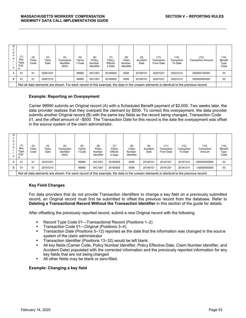| っ<br>n<br>a<br>$\Omega$ | (1)<br>Rec<br>Type<br>Cod<br>е | (2)<br>Trans<br>Code | (3)<br>Trans<br>Date | (4)<br>Transaction<br>Identifier<br>(N/A) | (5)<br>Carrie<br>r Code | (6)<br>Policy<br>Number<br>Identifier | (7)<br>Policy<br>Effectiv<br>e Date | (8)<br>Claim<br>Number<br>Identifier | (9)<br>Accident<br>Date | (11)<br>Transaction<br>From Date | (12)<br>Transaction<br>To Date | (13)<br><b>Transaction Amount</b>                                                                                                      | (14)<br>Benefit<br>Type<br>Code |
|-------------------------|--------------------------------|----------------------|----------------------|-------------------------------------------|-------------------------|---------------------------------------|-------------------------------------|--------------------------------------|-------------------------|----------------------------------|--------------------------------|----------------------------------------------------------------------------------------------------------------------------------------|---------------------------------|
|                         | 01                             | 01                   | 20201201             |                                           | 99990                   | WC1001                                | 20180925                            | 0006                                 | 20190101                | 20201201                         | 20201214                       | 000000100000                                                                                                                           | 03                              |
| В                       | 01                             | 01                   | 20201215             |                                           | 99990                   | WC1001                                | 20180925                            | 0006                                 | 20190101                | 20201201                         | 20201214                       | 000000050000                                                                                                                           | 03                              |
|                         |                                |                      |                      |                                           |                         |                                       |                                     |                                      |                         |                                  |                                | Not all data elements are shown. For each record of this example, the data in the unseen elements is identical to the previous record. |                                 |

#### **Example: Reporting an Overpayment**

Carrier 99990 submits an Original record (A) with a Scheduled Benefit payment of \$2,000. Two weeks later, the data provider realizes that they overpaid the claimant by \$500. To correct this overpayment, the data provider submits another Original record (B) with the same key fields as the record being changed, Transaction Code 01, and the offset amount of –\$500. The Transaction Date for this record is the date the overpayment was offset in the source system of the claim administrator.

|   | (1)<br>Rec<br>Type<br>Cod<br>е | (2)<br>rans:<br>Code | (3)<br>Trans<br>Date | (4)<br>Transaction<br>Identifier<br>(N/A)                                                                                              | (5)<br>Carrie<br>r Code | (6)<br>Policy<br>Number<br><b>Identifier</b> | (7)<br>Policy<br>Effectiv<br>e Date | (8)<br>Claim<br>Number<br>Identifier | (9)<br>Accident<br>Date | (11)<br>Transaction<br>From Date | (12)<br>Transaction<br>To Date | (13)<br>Transaction<br>Amount | (14)<br><b>Benefit</b><br>Type<br>Code |
|---|--------------------------------|----------------------|----------------------|----------------------------------------------------------------------------------------------------------------------------------------|-------------------------|----------------------------------------------|-------------------------------------|--------------------------------------|-------------------------|----------------------------------|--------------------------------|-------------------------------|----------------------------------------|
|   | 01                             | 01                   | 20181201             |                                                                                                                                        | 99990                   | WC1001                                       | 20180925                            | 0006                                 | 20190101                | 20181201                         | 20181214                       | 000000200000                  | 03                                     |
| В | 01                             | 01                   | 20181215             |                                                                                                                                        | 99990                   | WC1001                                       | 20180925                            | 0006                                 | 20190101                | 20181201                         | 20181214                       | $-00000050000$                | 03                                     |
|   |                                |                      |                      | Not all data elements are shown. For each record of this example, the data in the unseen elements is identical to the previous record. |                         |                                              |                                     |                                      |                         |                                  |                                |                               |                                        |

## **Key Field Changes**

For data providers that do not provide Transaction Identifiers to change a key field on a previously submitted record, an Original record must first be submitted to offset the previous record from the database. Refer to **Deleting a Transactional Record Without the Transaction Identifier** in this section of the guide for details.

After offsetting the previously reported record, submit a new Original record with the following:

- Record Type Code 01—Transactional Record (Positions 1–2)
- Transaction Code 01—Original (Positions 3–4)
- Transaction Date (Positions 5–12) reported as the date that the information was changed in the source system of the claim administrator
- Transaction Identifier (Positions 13–32) would be left blank.
- All key fields (Carrier Code, Policy Number Identifier, Policy Effective Date, Claim Number Identifier, and Accident Date) populated with the corrected information and the previously reported information for any key fields that are not being changed
- All other fields may be blank or zero-filled.

#### **Example: Changing a key field**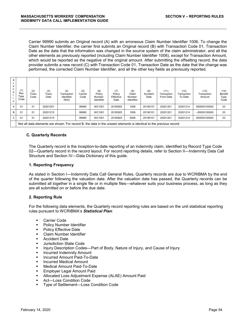Carrier 99990 submits an Original record (A) with an erroneous Claim Number Identifier 1006. To change the Claim Number Identifier, the carrier first submits an Original record (B) with Transaction Code 01, Transaction Date as the date that the information was changed in the source system of the claim administrator, and all the other elements as previously reported (including Claim Number Identifier 1006), except for Transaction Amount, which would be reported as the negative of the original amount. After submitting the offsetting record, the data provider submits a new record (C) with Transaction Code 01, Transaction Date as the date that the change was performed, the corrected Claim Number Identifier, and all the other key fields as previously reported.

| S<br>е<br>n<br>a<br>o | (1)<br>Rec<br>Type<br>Code | (2)<br>Trans<br>Code | (3)<br>Trans<br>Date | (4)<br>Transaction<br>Identifier<br>(N/A)                                                                           | (5)<br>Carrier<br>Code | (6)<br>Policy<br>Number<br>Identifier | (7)<br>Policy<br>Effective<br>Date | (8)<br>Claim<br>Number<br>Identifier | (9)<br>Accident<br>Date | (11)<br>Transaction<br>From Date | (12)<br>Transaction<br>To Date | (13)<br>Transaction<br>Amount | (14)<br>Benefit<br>Type<br>Code |
|-----------------------|----------------------------|----------------------|----------------------|---------------------------------------------------------------------------------------------------------------------|------------------------|---------------------------------------|------------------------------------|--------------------------------------|-------------------------|----------------------------------|--------------------------------|-------------------------------|---------------------------------|
| A                     | 01                         | 01                   | 20201201             |                                                                                                                     | 99990                  | WC1001                                | 20180925                           | 1006                                 | 20190101                | 20201201                         | 20201214                       | 000000100000                  | 03                              |
| В                     | 01                         | 01                   | 20201215             |                                                                                                                     | 99990                  | WC1001                                | 20180925                           | 1006                                 | 20190101                | 20201201                         | 20201214                       | $-00000100000$                | 03                              |
| $\mathbf{C}$          | 01                         | 01                   | 20201215             |                                                                                                                     | 99990                  | WC1001                                | 20180925                           | 0006                                 | 20190101                | 20201201                         | 20201214                       | 000000100000                  | 03                              |
|                       |                            |                      |                      | Not all data elements are shown. For record B, the data in the unseen elements is identical to the previous record. |                        |                                       |                                    |                                      |                         |                                  |                                |                               |                                 |

#### **C. Quarterly Records**

The Quarterly record is the inception-to-date reporting of an indemnity claim, identified by Record Type Code 02—Quarterly record in the record layout. For record reporting details, refer to Section II—Indemnity Data Call Structure and Section IV—Data Dictionary of this guide.

## **1. Reporting Frequency**

As stated in Section I—Indemnity Data Call General Rules, Quarterly records are due to WCRIBMA by the end of the quarter following the valuation date. After the valuation date has passed, the Quarterly records can be submitted all together in a single file or in multiple files—whatever suits your business process, as long as they are all submitted on or before the due date.

## **2. Reporting Rule**

For the following data elements, the Quarterly record reporting rules are based on the unit statistical reporting rules pursuant to WCRIBMA's *Statistical Plan*:

- **Carrier Code**
- Policy Number Identifier
- **Policy Effective Date**
- **Claim Number Identifier**
- Accident Date
- Jurisdiction State Code
- Injury Description Codes—Part of Body, Nature of Injury, and Cause of Injury
- **Incurred Indemnity Amount**
- **Incurred Amount Paid-To-Date**
- Incurred Medical Amount
- **Nedical Amount Paid-To-Date**
- **Employer Legal Amount Paid**
- Allocated Loss Adjustment Expense (ALAE) Amount Paid
- Act—Loss Condition Code
- Type of Settlement—Loss Condition Code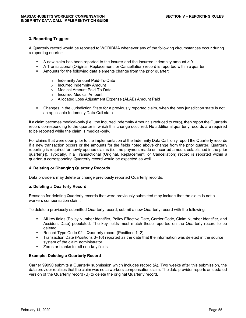#### **3. Reporting Triggers**

A Quarterly record would be reported to WCRIBMA whenever any of the following circumstances occur during a reporting quarter:

- A new claim has been reported to the insurer and the incurred indemnity amount > 0
- A Transactional (Original, Replacement, or Cancellation) record is reported within a quarter
- Amounts for the following data elements change from the prior quarter:
	- o Indemnity Amount Paid-To-Date
	- o Incurred Indemnity Amount
	- o Medical Amount Paid-To-Date
	- o Incurred Medical Amount
	- o Allocated Loss Adjustment Expense (ALAE) Amount Paid
- Changes in the Jurisdiction State for a previously reported claim, when the new jurisdiction state is not an applicable Indemnity Data Call state

If a claim becomes medical-only (i.e., the Incurred Indemnity Amount is reduced to zero), then report the Quarterly record corresponding to the quarter in which this change occurred. No additional quarterly records are required to be reported while the claim is medical-only.

For claims that were open prior to the implementation of the Indemnity Data Call, only report the Quarterly records if a new transaction occurs or the amounts for the fields noted above change from the prior quarter. Quarterly reporting is required for newly opened claims (i.e., no payment made or incurred amount established in the prior quarter[s]). Typically, if a Transactional (Original, Replacement, or Cancellation) record is reported within a quarter, a corresponding Quarterly record would be expected as well.

#### 4. **Deleting or Changing Quarterly Records**

Data providers may delete or change previously reported Quarterly records.

#### **a. Deleting a Quarterly Record**

Reasons for deleting Quarterly records that were previously submitted may include that the claim is not a workers compensation claim.

To delete a previously submitted Quarterly record, submit a new Quarterly record with the following:

- All key fields (Policy Number Identifier, Policy Effective Date, Carrier Code, Claim Number Identifier, and Accident Date) populated. The key fields must match those reported on the Quarterly record to be deleted.
- Record Type Code 02—Quarterly record (Positions 1–2).
- Transaction Date (Positions 3–10) reported as the date that the information was deleted in the source system of the claim administrator.
- **EXEC** Zeros or blanks for all non-key fields.

#### **Example: Deleting a Quarterly Record**

Carrier 99990 submits a Quarterly submission which includes record (A). Two weeks after this submission, the data provider realizes that the claim was not a workers compensation claim. The data provider reports an updated version of the Quarterly record (B) to delete the original Quarterly record.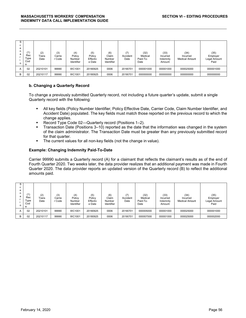| c<br>C.<br>e<br>n<br>a<br>$\Omega$ | (1)<br>Rec<br>Type<br>Cod<br>e | (2)<br>Trans<br>Date | (3)<br>Carrie<br>r Code | (4)<br>Policy<br>Number<br>Identifier | (5)<br>Policy<br>Effectiv<br>e Date | (6)<br>Claim<br>Number<br>Identifier | (7)<br>Accident<br>Date | (32)<br>Medical<br>Paid-To-<br>Date | (33)<br>Incurred<br>Indemnity<br>Amount | (34)<br>Incurred<br><b>Medical Amount</b> | (35)<br>Employer<br>Legal Amount<br>Paid |
|------------------------------------|--------------------------------|----------------------|-------------------------|---------------------------------------|-------------------------------------|--------------------------------------|-------------------------|-------------------------------------|-----------------------------------------|-------------------------------------------|------------------------------------------|
| А                                  | 02                             | 20210101             | 99990                   | WC1001                                | 20180925                            | 0006                                 | 20190701                | 000001000                           | 000001000                               | 000025000                                 | 000001000                                |
| B                                  | 02                             | 20210117             | 99990                   | WC1001                                | 20180925                            | 0006                                 | 20190701                | 000000000                           | 000000000                               | 000000000                                 | 000000000                                |

#### **b. Changing a Quarterly Record**

To change a previously submitted Quarterly record, not including a future quarter's update, submit a single Quarterly record with the following:

- All key fields (Policy Number Identifier, Policy Effective Date, Carrier Code, Claim Number Identifier, and Accident Date) populated. The key fields must match those reported on the previous record to which the change applies.
- Record Type Code 02—Quarterly record (Positions 1–2).
- Transaction Date (Positions 3–10) reported as the date that the information was changed in the system of the claim administrator. The Transaction Date must be greater than any previously submitted record for that quarter.
- **The current values for all non-key fields (not the change in value).**

#### **Example: Changing Indemnity Paid-To-Date**

Carrier 99990 submits a Quarterly record (A) for a claimant that reflects the claimant's results as of the end of Fourth Quarter 2020. Two weeks later, the data provider realizes that an additional payment was made in Fourth Quarter 2020. The data provider reports an updated version of the Quarterly record (B) to reflect the additional amounts paid.

| S<br>c.<br>e<br>n<br>a<br>$\Omega$ | (1)<br>Rec<br>Type<br>Cod<br>е | (2)<br>Trans<br>Date | (3)<br>Carrie<br>r Code | (4)<br>Policy<br>Number<br>Identifier | (5)<br>Policy<br>Effectiv<br>e Date | (6)<br>Claim<br>Number<br>Identifier | (7)<br>Accident<br>Date | (32)<br>Medical<br>Paid-To-<br>Date | (33)<br>Incurred<br>Indemnity<br>Amount | (34)<br>Incurred<br><b>Medical Amount</b> | (35)<br>Employer<br>Legal Amount<br>Paid |
|------------------------------------|--------------------------------|----------------------|-------------------------|---------------------------------------|-------------------------------------|--------------------------------------|-------------------------|-------------------------------------|-----------------------------------------|-------------------------------------------|------------------------------------------|
| A                                  | 02                             | 20210101             | 99990                   | WC1001                                | 20180925                            | 0006                                 | 20190701                | 000005000                           | 000001000                               | 000025000                                 | 000001000                                |
| B                                  | 02                             | 20210117             | 99990                   | WC1001                                | 20180925                            | 0006                                 | 20190701                | 000007000                           | 000001000                               | 000025000                                 | 000002000                                |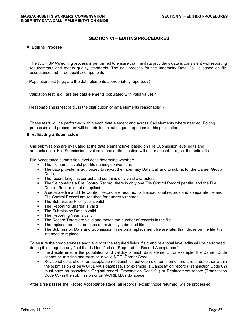## **SECTION VI – EDITING PROCEDURES**

#### **A. Editing Process**

a

 $\mathbf{I}$ 

 $\mathbf{C}$ )

The WCRIBMA's editing process is performed to ensure that the data provider's data is consistent with reporting requirements and meets quality standards. The edit process for the Indemnity Data Call is based on file acceptance and three quality components:

( Population test (e.g., are the data elements appropriately reported?)

) ( Validation test (e.g., are the data elements populated with valid values?)

) ( Reasonableness test (e.g., is the distribution of data elements reasonable?)

These tests will be performed within each data element and across Call elements where needed. Editing processes and procedures will be detailed in subsequent updates to this publication.

#### **B. Validating a Submission**

Call submissions are evaluated at the data element level based on File Submission level edits and authentication. File Submission level edits and authentication will either accept or reject the entire file.

File Acceptance submission level edits determine whether:

- The file name is valid per file naming conventions<br>The data provider is authorized to report the Inder
- The data provider is authorized to report the Indemnity Data Call and to submit for the Carrier Group Code
- The record length is correct and contains only valid characters
- The file contains a File Control Record, there is only one File Control Record per file, and the File Control Record is not a duplicate
- A separate file and File Control Record are required for transactional records and a separate file and File Control Record are required for quarterly records
- The Submission File Type is valid
- The Reporting Quarter is valid
- The Submission Date is valid
- The Reporting Year is valid
- The Record Totals are valid and match the number of records in the file
- The replacement file matches a previously submitted file
- The Submission Date and Submission Time on a replacement file are later than those on the file it is intended to replace

To ensure the completeness and validity of the required fields, field and relational level edits will be performed during this stage on any field that is identified as "Required for Record Acceptance."

- Field edits ensure the population and validity of each data element. For example, the Carrier Code cannot be missing and must be a valid NCCI Carrier Code.
- Relational edits check for acceptable relationships between elements on different records, either within the submission or on WCRIBMA's database. For example, a Cancellation record (Transaction Code 02) must have an associated Original record (Transaction Code 01) or Replacement record (Transaction Code 03) in the submission or on WCRIBMA's database.

After a file passes the Record Acceptance stage, all records, except those returned, will be processed.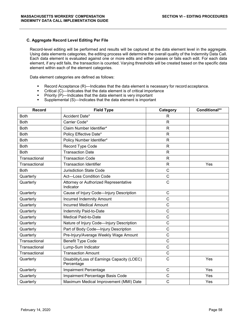#### **C. Aggregate Record Level Editing Per File**

Record-level editing will be performed and results will be captured at the data element level in the aggregate. Using data elements categories, the editing process will determine the overall quality of the Indemnity Data Call. Each data element is evaluated against one or more edits and either passes or fails each edit. For each data element, if any edit fails, the transaction is counted. Varying thresholds will be created based on the specific data element within each of the element categories.

Data element categories are defined as follows:

- Record Acceptance (R)—Indicates that the data element is necessary for record acceptance.
- Critical (C)—Indicates that the data element is of critical importance
- Priority (P)—Indicates that the data element is very important
- Supplemental (S)—Indicates that the data element is important

| <b>Record</b> | <b>Field Type</b>                                         | Category       | Conditional** |
|---------------|-----------------------------------------------------------|----------------|---------------|
| <b>Both</b>   | Accident Date*                                            | $\mathsf{R}$   |               |
| <b>Both</b>   | Carrier Code*                                             | $\mathsf{R}$   |               |
| <b>Both</b>   | Claim Number Identifier*                                  | $\mathsf{R}$   |               |
| <b>Both</b>   | Policy Effective Date*                                    | R              |               |
| <b>Both</b>   | Policy Number Identifier*                                 | $\mathsf{R}$   |               |
| <b>Both</b>   | Record Type Code                                          | R              |               |
| <b>Both</b>   | <b>Transaction Date</b>                                   | $\mathsf{R}$   |               |
| Transactional | <b>Transaction Code</b>                                   | $\mathsf{R}$   |               |
| Transactional | <b>Transaction Identifier</b>                             | $\mathsf{R}$   | Yes           |
| <b>Both</b>   | <b>Jurisdiction State Code</b>                            | $\overline{C}$ |               |
| Quarterly     | <b>Act-Loss Condition Code</b>                            | $\mathsf C$    |               |
| Quarterly     | Attorney or Authorized Representative<br>Indicator        | $\mathsf{C}$   |               |
| Quarterly     | Cause of Injury Code-Injury Description                   | $\mathsf C$    |               |
| Quarterly     | <b>Incurred Indemnity Amount</b>                          | $\mathsf{C}$   |               |
| Quarterly     | <b>Incurred Medical Amount</b>                            | $\mathbf C$    |               |
| Quarterly     | Indemnity Paid-to-Date                                    | $\mathsf{C}$   |               |
| Quarterly     | <b>Medical Paid-to-Date</b>                               | $\mathsf{C}$   |               |
| Quarterly     | Nature of Injury Code-Injury Description                  | $\mathsf{C}$   |               |
| Quarterly     | Part of Body Code-Injury Description                      | C              |               |
| Quarterly     | Pre-Injury/Average Weekly Wage Amount                     | $\mathbf C$    |               |
| Transactional | <b>Benefit Type Code</b>                                  | $\mathsf C$    |               |
| Transactional | Lump-Sum Indicator                                        | $\overline{C}$ |               |
| Transactional | <b>Transaction Amount</b>                                 | $\mathsf C$    |               |
| Quarterly     | Disability/Loss of Earnings Capacity (LOEC)<br>Percentage | $\mathsf{C}$   | Yes           |
| Quarterly     | Impairment Percentage                                     | $\mathsf{C}$   | Yes           |
| Quarterly     | Impairment Percentage Basis Code                          | $\overline{C}$ | Yes           |
| Quarterly     | Maximum Medical Improvement (MMI) Date                    | C              | Yes           |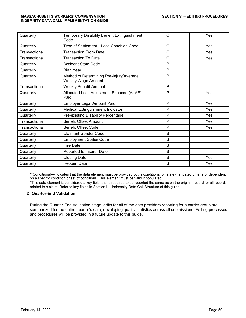| Quarterly     | Temporary Disability Benefit Extinguishment<br>Code            | $\mathsf{C}$ | Yes |
|---------------|----------------------------------------------------------------|--------------|-----|
| Quarterly     | Type of Settlement-Loss Condition Code                         | $\mathsf{C}$ | Yes |
| Transactional | <b>Transaction From Date</b>                                   | C            | Yes |
| Transactional | <b>Transaction To Date</b>                                     | $\mathsf{C}$ | Yes |
| Quarterly     | <b>Accident State Code</b>                                     | P            |     |
| Quarterly     | <b>Birth Year</b>                                              | P            |     |
| Quarterly     | Method of Determining Pre-Injury/Average<br>Weekly Wage Amount | P            |     |
| Transactional | <b>Weekly Benefit Amount</b>                                   | P            |     |
| Quarterly     | Allocated Loss Adjustment Expense (ALAE)<br>Paid               | P            | Yes |
| Quarterly     | Employer Legal Amount Paid                                     | P            | Yes |
| Quarterly     | Medical Extinguishment Indicator                               | P            | Yes |
| Quarterly     | Pre-existing Disability Percentage                             | P            | Yes |
| Transactional | <b>Benefit Offset Amount</b>                                   | P            | Yes |
| Transactional | <b>Benefit Offset Code</b>                                     | P            | Yes |
| Quarterly     | <b>Claimant Gender Code</b>                                    | S            |     |
| Quarterly     | <b>Employment Status Code</b>                                  | S            |     |
| Quarterly     | <b>Hire Date</b>                                               | S            |     |
| Quarterly     | Reported to Insurer Date                                       | S            |     |
| Quarterly     | <b>Closing Date</b>                                            | S            | Yes |
| Quarterly     | Reopen Date                                                    | S            | Yes |

\*\*Conditional—Indicates that the data element must be provided but is conditional on state-mandated criteria or dependent on a specific condition or set of conditions. This element must be valid if populated.

\*This data element is considered a key field and is required to be reported the same as on the original record for all records related to a claim. Refer to key fields in Section II—Indemnity Data Call Structure of this guide.

## **D. Quarter-End Validation**

During the Quarter-End Validation stage, edits for all of the data providers reporting for a carrier group are summarized for the entire quarter's data, developing quality statistics across all submissions. Editing processes and procedures will be provided in a future update to this guide.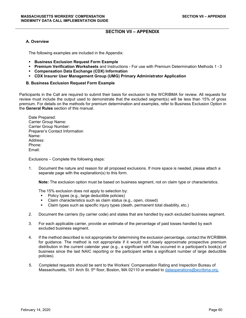## **SECTION VII – APPENDIX**

#### **A. Overview**

The following examples are included in the Appendix:

- **Business Exclusion Request Form Example**
- **Premium Verification Worksheets** and Instructions For use with Premium Determination Methods 1 -3
- **Compensation Data Exchange (CDX) Information**
- **CDX Insurer User Management Group (UMG) Primary Administrator Application**

#### **B. Business Exclusion Request Form Example**

Participants in the Call are required to submit their basis for exclusion to the WCRIBMA for review. All requests for review must include the output used to demonstrate that the excluded segment(s) will be less than 15% of gross premium. For details on the methods for premium determination and examples, refer to Business Exclusion Option in the **General Rules** section of this manual.

Date Prepared: Carrier Group Name: Carrier Group Number: Preparer's Contact Information Name: Address: Phone: Email:

Exclusions – Complete the following steps:

1. Document the nature and reason for all proposed exclusions. If more space is needed, please attach a separate page with the explanation(s) to this form.

**Note:** The exclusion option must be based on business segment, not on claim type or characteristics.

The 15% exclusion does not apply to selection by:

- Policy types (e.g., large deductible policies)
- Claim characteristics such as claim status (e.g., open, closed)
- Claim types such as specific injury types (death, permanent total disability, etc.)
- 2. Document the carriers (by carrier code) and states that are handled by each excluded business segment.
- 3. For each applicable carrier, provide an estimate of the percentage of paid losses handled by each excluded business segment.
- 4. If the method described is not appropriate for determining the exclusion percentage, contact the WCRIBMA for guidance. The method is not appropriate if it would not closely approximate prospective premium distribution in the current calendar year (e.g., a significant shift has occurred in a participant's book(s) of business since the last NAIC reporting or the participant writes a significant number of large deductible policies).
- 5. Completed requests should be sent to the Workers' Compensation Rating and Inspection Bureau of Massachusetts, 101 Arch St. 5<sup>th</sup> floor, Boston, MA 02110 or emailed to [dataoperations@wcribma.org.](mailto:dataoperations@wcribma.org.)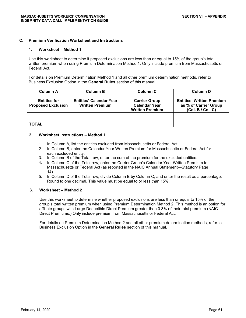#### **C. Premium Verification Worksheet and Instructions**

#### **1. Worksheet – Method 1**

Use this worksheet to determine if proposed exclusions are less than or equal to 15% of the group's total written premium when using Premium Determination Method 1. Only include premium from Massachusetts or Federal Act.

For details on Premium Determination Method 1 and all other premium determination methods, refer to Business Exclusion Option in the **General Rules** section of this manual.

| <b>Column A</b>                                  | <b>Column B</b>                                          | Column C                                                               | <b>Column D</b>                                                                |
|--------------------------------------------------|----------------------------------------------------------|------------------------------------------------------------------------|--------------------------------------------------------------------------------|
| <b>Entities for</b><br><b>Proposed Exclusion</b> | <b>Entities' Calendar Year</b><br><b>Written Premium</b> | <b>Carrier Group</b><br><b>Calendar Year</b><br><b>Written Premium</b> | <b>Entities' Written Premium</b><br>as % of Carrier Group<br>(Col. B / Col. C) |
|                                                  |                                                          |                                                                        |                                                                                |
|                                                  |                                                          |                                                                        |                                                                                |
| <b>TOTAL</b>                                     |                                                          |                                                                        |                                                                                |

#### **2. Worksheet Instructions – Method 1**

- 1. In Column A, list the entities excluded from Massachusetts or Federal Act.
- 2. In Column B, enter the Calendar Year Written Premium for Massachusetts or Federal Act for each excluded entity.
- 3. In Column B of the Total row, enter the sum of the premium for the excluded entities.
- 4. In Column C of the Total row, enter the Carrier Group's Calendar Year Written Premium for Massachusetts or Federal Act (as reported in the NAIC Annual Statement—Statutory Page 14).
- 5. In Column D of the Total row, divide Column B by Column C, and enter the result as a percentage. Round to one decimal. This value must be equal to or less than 15%.

#### **3. Worksheet – Method 2**

Use this worksheet to determine whether proposed exclusions are less than or equal to 15% of the group's total written premium when using Premium Determination Method 2. This method is an option for affiliate groups with Large Deductible Direct Premium greater than 0.3% of their total premium (NAIC Direct Premiums.) Only include premium from Massachusetts or Federal Act.

For details on Premium Determination Method 2 and all other premium determination methods, refer to Business Exclusion Option in the **General Rules** section of this manual.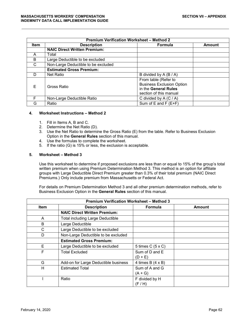| <b>Premium Verification Worksheet - Method 2</b> |                                     |                                                                                                            |        |  |
|--------------------------------------------------|-------------------------------------|------------------------------------------------------------------------------------------------------------|--------|--|
| <b>Item</b>                                      | <b>Description</b>                  | Formula                                                                                                    | Amount |  |
|                                                  | <b>NAIC Direct Written Premium:</b> |                                                                                                            |        |  |
| A                                                | Total                               |                                                                                                            |        |  |
| B                                                | Large Deductible to be excluded     |                                                                                                            |        |  |
| C                                                | Non-Large Deductible to be excluded |                                                                                                            |        |  |
|                                                  | <b>Estimated Gross Premium:</b>     |                                                                                                            |        |  |
| D                                                | <b>Net Ratio</b>                    | B divided by A (B / A)                                                                                     |        |  |
| F                                                | Gross Ratio                         | From table (Refer to<br><b>Business Exclusion Option</b><br>in the General Rules<br>section of this manual |        |  |
|                                                  | Non-Large Deductible Ratio          | C divided by $A(C/A)$                                                                                      |        |  |
| G                                                | Ratio                               | Sum of $E$ and $F(E+F)$                                                                                    |        |  |

#### **4. Worksheet Instructions – Method 2**

- 1. Fill in Items A, B and C.
- 2. Determine the Net Ratio (D).
- 3. Use the Net Ratio to determine the Gross Ratio (E) from the table. Refer to Business Exclusion Option in the **General Rules** section of this manual.
- 4. Use the formulas to complete the worksheet.
- 5. If the ratio (G) is 15% or less, the exclusion is acceptable.

#### **5. Worksheet – Method 3**

Use this worksheet to determine if proposed exclusions are less than or equal to 15% of the group's total written premium when using Premium Determination Method 3. This method is an option for affiliate groups with Large Deductible Direct Premium greater than 0.3% of their total premium (NAIC Direct Premiums.) Only include premium from Massachusetts or Federal Act.

For details on Premium Determination Method 3 and all other premium determination methods, refer to Business Exclusion Option in the **General Rules** section of this manual.

| <b>Premium Verification Worksheet - Method 3</b> |                                         |                         |        |  |
|--------------------------------------------------|-----------------------------------------|-------------------------|--------|--|
| <b>Item</b>                                      | <b>Description</b>                      | <b>Formula</b>          | Amount |  |
|                                                  | <b>NAIC Direct Written Premium:</b>     |                         |        |  |
| A                                                | <b>Total including Large Deductible</b> |                         |        |  |
| B                                                | Large Deductible                        |                         |        |  |
| C                                                | Large Deductible to be excluded         |                         |        |  |
| D                                                | Non-Large Deductible to be excluded     |                         |        |  |
|                                                  | <b>Estimated Gross Premium:</b>         |                         |        |  |
| E.                                               | Large Deductible to be excluded         | 5 times C (5 x C)       |        |  |
| F                                                | <b>Total Excluded</b>                   | Sum of D and E          |        |  |
|                                                  |                                         | $(D + E)$               |        |  |
| G                                                | Add-on for Large Deductible business    | 4 times $B(4 \times B)$ |        |  |
| н                                                | <b>Estimated Total</b>                  | Sum of A and G          |        |  |
|                                                  |                                         | $(A+G)$                 |        |  |
|                                                  | Ratio                                   | F divided by H          |        |  |
|                                                  |                                         | (F/H)                   |        |  |